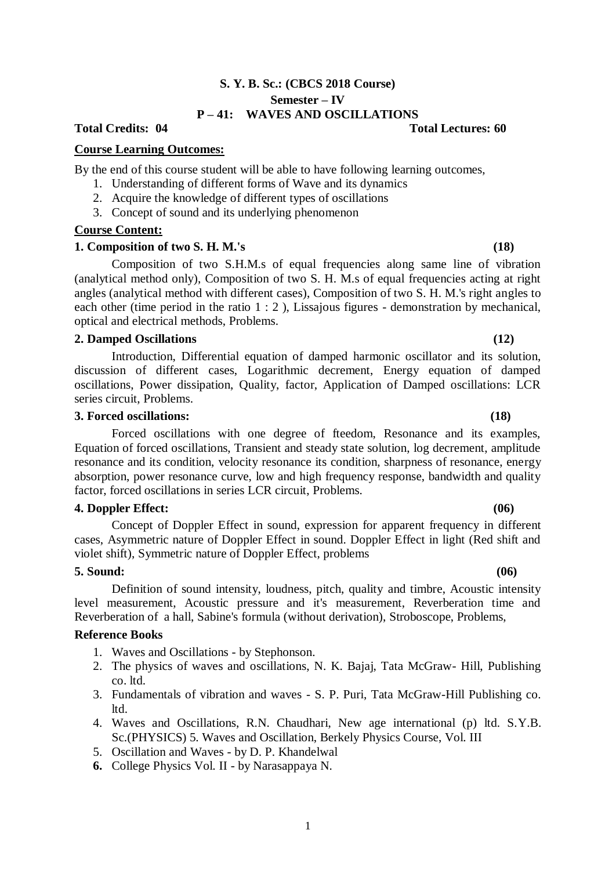# **S. Y. B. Sc.: (CBCS 2018 Course) Semester – IV P – 41: WAVES AND OSCILLATIONS**

# **Total Credits: 04 Total Lectures: 60**

# **Course Learning Outcomes:**

By the end of this course student will be able to have following learning outcomes,

- 1. Understanding of different forms of Wave and its dynamics
- 2. Acquire the knowledge of different types of oscillations
- 3. Concept of sound and its underlying phenomenon

# **Course Content:**

# **1. Composition of two S. H. M.'s (18)**

Composition of two S.H.M.s of equal frequencies along same line of vibration (analytical method only), Composition of two S. H. M.s of equal frequencies acting at right angles (analytical method with different cases), Composition of two S. H. M.'s right angles to each other (time period in the ratio 1 : 2 ), Lissajous figures - demonstration by mechanical, optical and electrical methods, Problems.

# **2. Damped Oscillations (12)**

Introduction, Differential equation of damped harmonic oscillator and its solution, discussion of different cases, Logarithmic decrement, Energy equation of damped oscillations, Power dissipation, Quality, factor, Application of Damped oscillations: LCR series circuit, Problems.

# **3. Forced oscillations: (18)**

Forced oscillations with one degree of fteedom, Resonance and its examples, Equation of forced oscillations, Transient and steady state solution, log decrement, amplitude resonance and its condition, velocity resonance its condition, sharpness of resonance, energy absorption, power resonance curve, low and high frequency response, bandwidth and quality factor, forced oscillations in series LCR circuit, Problems.

# **4. Doppler Effect: (06)**

Concept of Doppler Effect in sound, expression for apparent frequency in different cases, Asymmetric nature of Doppler Effect in sound. Doppler Effect in light (Red shift and violet shift), Symmetric nature of Doppler Effect, problems

# **5. Sound: (06)**

Definition of sound intensity, loudness, pitch, quality and timbre, Acoustic intensity level measurement, Acoustic pressure and it's measurement, Reverberation time and Reverberation of a hall, Sabine's formula (without derivation), Stroboscope, Problems,

# **Reference Books**

- 1. Waves and Oscillations by Stephonson.
- 2. The physics of waves and oscillations, N. K. Bajaj, Tata McGraw- Hill, Publishing co. ltd.
- 3. Fundamentals of vibration and waves S. P. Puri, Tata McGraw-Hill Publishing co. ltd.
- 4. Waves and Oscillations, R.N. Chaudhari, New age international (p) ltd. S.Y.B. Sc.(PHYSICS) 5. Waves and Oscillation, Berkely Physics Course, Vol. III
- 5. Oscillation and Waves by D. P. Khandelwal
- **6.** College Physics Vol. II by Narasappaya N.

## 1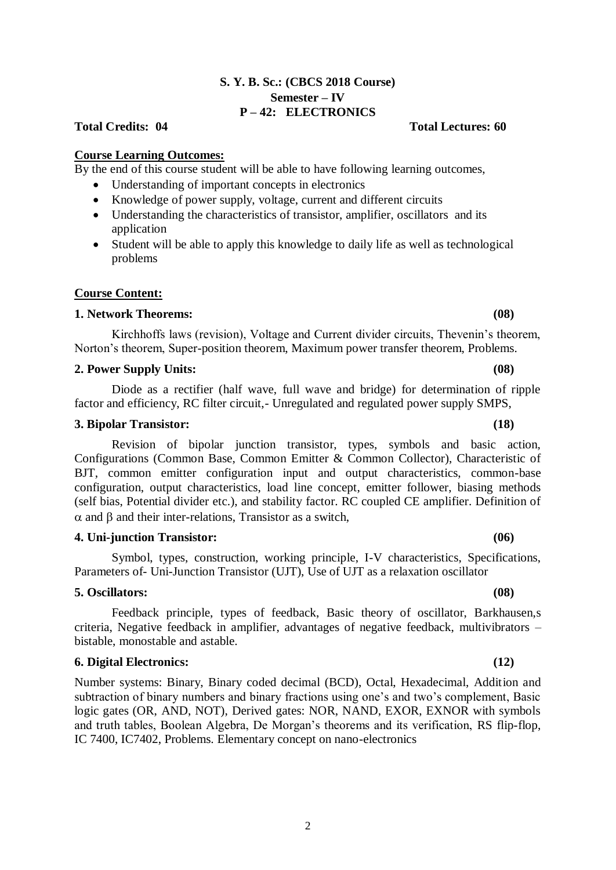# **S. Y. B. Sc.: (CBCS 2018 Course) Semester – IV P – 42: ELECTRONICS**

# **Total Credits: 04 Total Lectures: 60**

# **Course Learning Outcomes:**

By the end of this course student will be able to have following learning outcomes,

- Understanding of important concepts in electronics
- Knowledge of power supply, voltage, current and different circuits
- Understanding the characteristics of transistor, amplifier, oscillators and its application
- Student will be able to apply this knowledge to daily life as well as technological problems

# **Course Content:**

# **1. Network Theorems: (08)**

Kirchhoffs laws (revision), Voltage and Current divider circuits, Thevenin's theorem, Norton's theorem, Super-position theorem, Maximum power transfer theorem, Problems.

# **2. Power Supply Units: (08)**

Diode as a rectifier (half wave, full wave and bridge) for determination of ripple factor and efficiency, RC filter circuit,- Unregulated and regulated power supply SMPS,

# **3. Bipolar Transistor: (18)**

Revision of bipolar junction transistor, types, symbols and basic action, Configurations (Common Base, Common Emitter & Common Collector), Characteristic of BJT, common emitter configuration input and output characteristics, common-base configuration, output characteristics, load line concept, emitter follower, biasing methods (self bias, Potential divider etc.), and stability factor. RC coupled CE amplifier. Definition of  $\alpha$  and  $\beta$  and their inter-relations. Transistor as a switch,

# **4. Uni-junction Transistor: (06)**

Symbol, types, construction, working principle, I-V characteristics, Specifications, Parameters of- Uni-Junction Transistor (UJT), Use of UJT as a relaxation oscillator

# **5. Oscillators: (08)**

Feedback principle, types of feedback, Basic theory of oscillator, Barkhausen,s criteria, Negative feedback in amplifier, advantages of negative feedback, multivibrators – bistable, monostable and astable.

# **6. Digital Electronics: (12)**

Number systems: Binary, Binary coded decimal (BCD), Octal, Hexadecimal, Addition and subtraction of binary numbers and binary fractions using one's and two's complement, Basic logic gates (OR, AND, NOT), Derived gates: NOR, NAND, EXOR, EXNOR with symbols and truth tables, Boolean Algebra, De Morgan's theorems and its verification, RS flip-flop, IC 7400, IC7402, Problems. Elementary concept on nano-electronics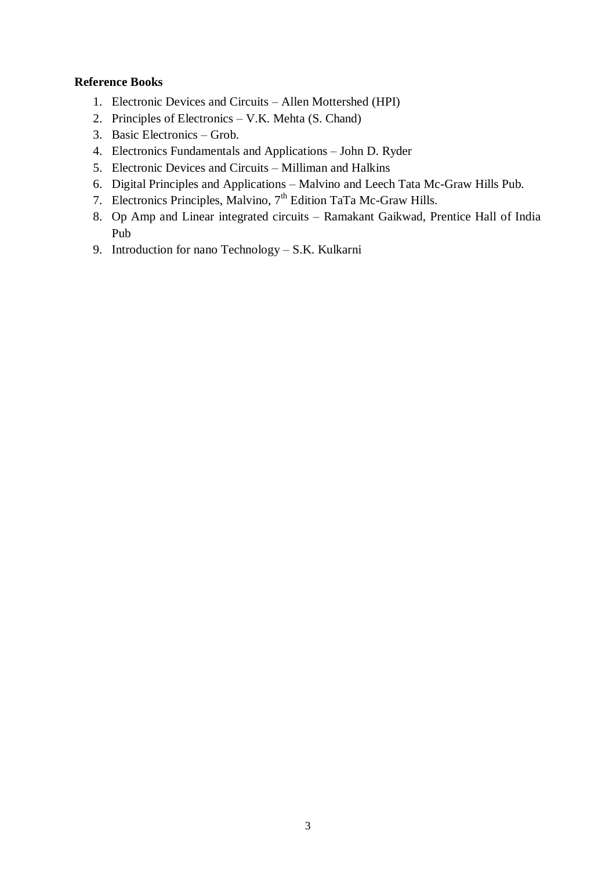# **Reference Books**

- 1. Electronic Devices and Circuits Allen Mottershed (HPI)
- 2. Principles of Electronics V.K. Mehta (S. Chand)
- 3. Basic Electronics Grob.
- 4. Electronics Fundamentals and Applications John D. Ryder
- 5. Electronic Devices and Circuits Milliman and Halkins
- 6. Digital Principles and Applications Malvino and Leech Tata Mc-Graw Hills Pub.
- 7. Electronics Principles, Malvino, 7<sup>th</sup> Edition TaTa Mc-Graw Hills.
- 8. Op Amp and Linear integrated circuits Ramakant Gaikwad, Prentice Hall of India Pub
- 9. Introduction for nano Technology S.K. Kulkarni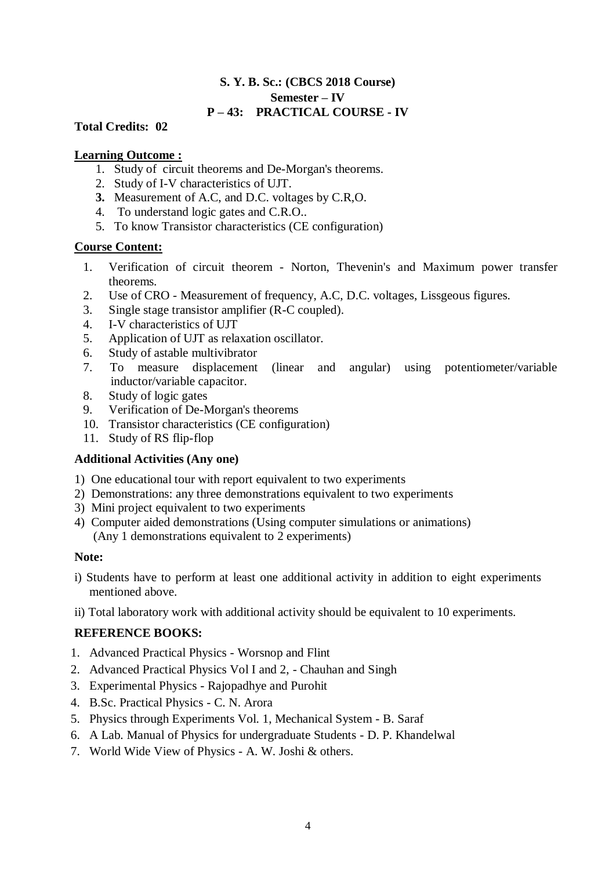# **S. Y. B. Sc.: (CBCS 2018 Course) Semester – IV P – 43: PRACTICAL COURSE - IV**

# **Total Credits: 02**

# **Learning Outcome :**

- 1. Study of circuit theorems and De-Morgan's theorems.
- 2. Study of I-V characteristics of UJT.
- **3.** Measurement of A.C, and D.C. voltages by C.R,O.
- 4. To understand logic gates and C.R.O..
- 5. To know Transistor characteristics (CE configuration)

# **Course Content:**

- 1. Verification of circuit theorem Norton, Thevenin's and Maximum power transfer theorems.
- 2. Use of CRO Measurement of frequency, A.C, D.C. voltages, Lissgeous figures.
- 3. Single stage transistor amplifier (R-C coupled).
- 4. I-V characteristics of UJT
- 5. Application of UJT as relaxation oscillator.
- 6. Study of astable multivibrator
- 7. To measure displacement (linear and angular) using potentiometer/variable inductor/variable capacitor.
- 8. Study of logic gates
- 9. Verification of De-Morgan's theorems
- 10. Transistor characteristics (CE configuration)
- 11. Study of RS flip-flop

# **Additional Activities (Any one)**

- 1) One educational tour with report equivalent to two experiments
- 2) Demonstrations: any three demonstrations equivalent to two experiments
- 3) Mini project equivalent to two experiments
- 4) Computer aided demonstrations (Using computer simulations or animations) (Any 1 demonstrations equivalent to 2 experiments)

# **Note:**

- i) Students have to perform at least one additional activity in addition to eight experiments mentioned above.
- ii) Total laboratory work with additional activity should be equivalent to 10 experiments.

# **REFERENCE BOOKS:**

- 1. Advanced Practical Physics Worsnop and Flint
- 2. Advanced Practical Physics Vol I and 2, Chauhan and Singh
- 3. Experimental Physics Rajopadhye and Purohit
- 4. B.Sc. Practical Physics C. N. Arora
- 5. Physics through Experiments Vol. 1, Mechanical System B. Saraf
- 6. A Lab. Manual of Physics for undergraduate Students D. P. Khandelwal
- 7. World Wide View of Physics A. W. Joshi & others.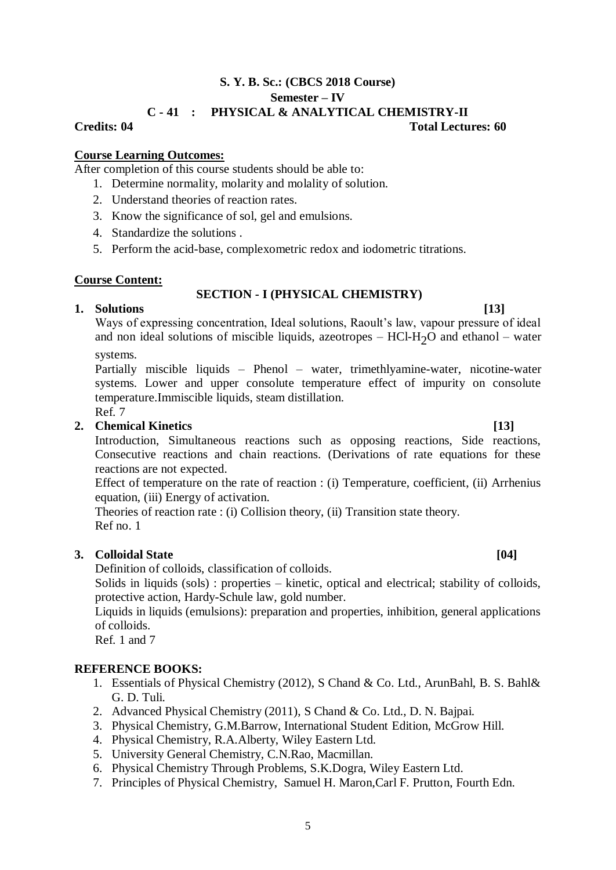# **S. Y. B. Sc.: (CBCS 2018 Course) Semester – IV C - 41 : PHYSICAL & ANALYTICAL CHEMISTRY-II Credits: 04 Total Lectures: 60**

# **Course Learning Outcomes:**

After completion of this course students should be able to:

- 1. Determine normality, molarity and molality of solution.
- 2. Understand theories of reaction rates.
- 3. Know the significance of sol, gel and emulsions.
- 4. Standardize the solutions .
- 5. Perform the acid-base, complexometric redox and iodometric titrations.

# **Course Content:**

# **SECTION - I (PHYSICAL CHEMISTRY)**

# **1. Solutions [13]**

Ways of expressing concentration, Ideal solutions, Raoult's law, vapour pressure of ideal and non ideal solutions of miscible liquids, azeotropes –  $HC1-H<sub>2</sub>O$  and ethanol – water

systems.

Partially miscible liquids – Phenol – water, trimethlyamine-water, nicotine-water systems. Lower and upper consolute temperature effect of impurity on consolute temperature.Immiscible liquids, steam distillation. Ref. 7

# **2. Chemical Kinetics [13]**

Introduction, Simultaneous reactions such as opposing reactions, Side reactions, Consecutive reactions and chain reactions. (Derivations of rate equations for these reactions are not expected.

Effect of temperature on the rate of reaction : (i) Temperature, coefficient, (ii) Arrhenius equation, (iii) Energy of activation.

Theories of reaction rate : (i) Collision theory, (ii) Transition state theory. Ref no. 1

# **3. Colloidal State** [04]

Definition of colloids, classification of colloids.

Solids in liquids (sols) : properties – kinetic, optical and electrical; stability of colloids, protective action, Hardy-Schule law, gold number.

Liquids in liquids (emulsions): preparation and properties, inhibition, general applications of colloids.

Ref. 1 and 7

# **REFERENCE BOOKS:**

- 1. Essentials of Physical Chemistry (2012), S Chand & Co. Ltd., ArunBahl, B. S. Bahl& G. D. Tuli.
- 2. Advanced Physical Chemistry (2011), S Chand & Co. Ltd., D. N. Bajpai.
- 3. Physical Chemistry, G.M.Barrow, International Student Edition, McGrow Hill.
- 4. Physical Chemistry, R.A.Alberty, Wiley Eastern Ltd.
- 5. University General Chemistry, C.N.Rao, Macmillan.
- 6. Physical Chemistry Through Problems, S.K.Dogra, Wiley Eastern Ltd.
- 7. Principles of Physical Chemistry, Samuel H. Maron,Carl F. Prutton, Fourth Edn.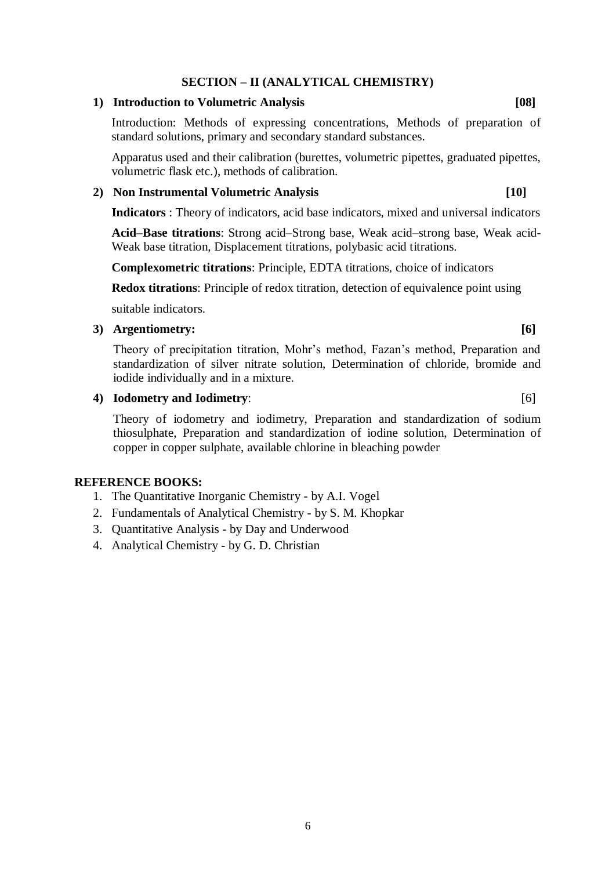# **SECTION – II (ANALYTICAL CHEMISTRY)**

# **1) Introduction to Volumetric Analysis [08]**

Introduction: Methods of expressing concentrations, Methods of preparation of standard solutions, primary and secondary standard substances.

Apparatus used and their calibration (burettes, volumetric pipettes, graduated pipettes, volumetric flask etc.), methods of calibration.

# **2) Non Instrumental Volumetric Analysis [10]**

**Indicators** : Theory of indicators, acid base indicators, mixed and universal indicators

**Acid–Base titrations**: Strong acid–Strong base, Weak acid–strong base, Weak acid-Weak base titration, Displacement titrations, polybasic acid titrations.

**Complexometric titrations**: Principle, EDTA titrations, choice of indicators

**Redox titrations**: Principle of redox titration, detection of equivalence point using

suitable indicators.

# **3) Argentiometry: [6]**

Theory of precipitation titration, Mohr's method, Fazan's method, Preparation and standardization of silver nitrate solution, Determination of chloride, bromide and iodide individually and in a mixture.

# **4) Iodometry and Iodimetry**: [6]

Theory of iodometry and iodimetry, Preparation and standardization of sodium thiosulphate, Preparation and standardization of iodine solution, Determination of copper in copper sulphate, available chlorine in bleaching powder

# **REFERENCE BOOKS:**

- 1. The Quantitative Inorganic Chemistry by A.I. Vogel
- 2. Fundamentals of Analytical Chemistry by S. M. Khopkar
- 3. Quantitative Analysis by Day and Underwood
- 4. Analytical Chemistry by G. D. Christian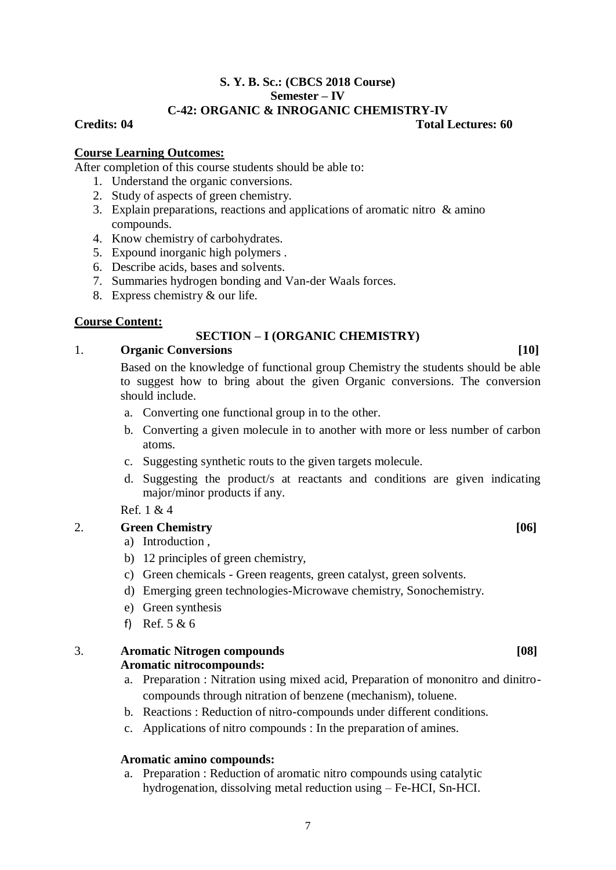# **S. Y. B. Sc.: (CBCS 2018 Course) Semester – IV C-42: ORGANIC & INROGANIC CHEMISTRY-IV**

# **Credits: 04 Total Lectures: 60**

# **Course Learning Outcomes:**

After completion of this course students should be able to:

- 1. Understand the organic conversions.
- 2. Study of aspects of green chemistry.
- 3. Explain preparations, reactions and applications of aromatic nitro & amino compounds.
- 4. Know chemistry of carbohydrates.
- 5. Expound inorganic high polymers .
- 6. Describe acids, bases and solvents.
- 7. Summaries hydrogen bonding and Van-der Waals forces.
- 8. Express chemistry & our life.

# **Course Content:**

# **SECTION – I (ORGANIC CHEMISTRY)**

# 1. **Organic Conversions [10]**

Based on the knowledge of functional group Chemistry the students should be able to suggest how to bring about the given Organic conversions. The conversion should include.

- a. Converting one functional group in to the other.
- b. Converting a given molecule in to another with more or less number of carbon atoms.
- c. Suggesting synthetic routs to the given targets molecule.
- d. Suggesting the product/s at reactants and conditions are given indicating major/minor products if any.

Ref. 1 & 4

# 2. **Green Chemistry** [06]

- a) Introduction ,
- b) 12 principles of green chemistry,
- c) Green chemicals Green reagents, green catalyst, green solvents.
- d) Emerging green technologies-Microwave chemistry, Sonochemistry.
- e) Green synthesis
- f) Ref. 5 & 6

3. **Aromatic Nitrogen compounds [08] Aromatic nitrocompounds:** 

- a. Preparation : Nitration using mixed acid, Preparation of mononitro and dinitrocompounds through nitration of benzene (mechanism), toluene.
- b. Reactions : Reduction of nitro-compounds under different conditions.
- c. Applications of nitro compounds : In the preparation of amines.

# **Aromatic amino compounds:**

a. Preparation : Reduction of aromatic nitro compounds using catalytic hydrogenation, dissolving metal reduction using – Fe-HCI, Sn-HCI.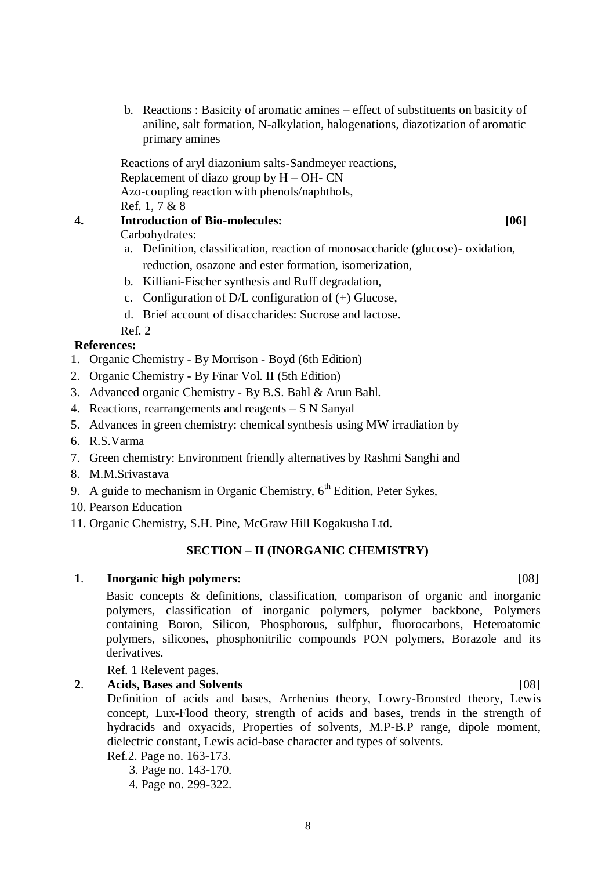b. Reactions : Basicity of aromatic amines – effect of substituents on basicity of aniline, salt formation, N-alkylation, halogenations, diazotization of aromatic primary amines

Reactions of aryl diazonium salts-Sandmeyer reactions, Replacement of diazo group by  $H - OH - CN$ Azo-coupling reaction with phenols/naphthols, Ref. 1, 7 & 8

# **4. Introduction of Bio-molecules: [06]**

Carbohydrates:

- a. Definition, classification, reaction of monosaccharide (glucose)- oxidation, reduction, osazone and ester formation, isomerization,
- b. Killiani-Fischer synthesis and Ruff degradation,
- c. Configuration of  $D/L$  configuration of  $(+)$  Glucose,
- d. Brief account of disaccharides: Sucrose and lactose.
- Ref. 2

# **References:**

- 1. Organic Chemistry By Morrison Boyd (6th Edition)
- 2. Organic Chemistry By Finar Vol. II (5th Edition)
- 3. Advanced organic Chemistry By B.S. Bahl & Arun Bahl.
- 4. Reactions, rearrangements and reagents S N Sanyal
- 5. Advances in green chemistry: chemical synthesis using MW irradiation by
- 6. R.S.Varma
- 7. Green chemistry: Environment friendly alternatives by Rashmi Sanghi and
- 8. M.M.Srivastava
- 9. A guide to mechanism in Organic Chemistry,  $6<sup>th</sup>$  Edition, Peter Sykes,
- 10. Pearson Education
- 11. Organic Chemistry, S.H. Pine, McGraw Hill Kogakusha Ltd.

# **SECTION – II (INORGANIC CHEMISTRY)**

# **1**. **Inorganic high polymers:** [08]

Basic concepts & definitions, classification, comparison of organic and inorganic polymers, classification of inorganic polymers, polymer backbone, Polymers containing Boron, Silicon, Phosphorous, sulfphur, fluorocarbons, Heteroatomic polymers, silicones, phosphonitrilic compounds PON polymers, Borazole and its derivatives.

Ref. 1 Relevent pages.

# **2**. **Acids, Bases and Solvents** [08]

Definition of acids and bases, Arrhenius theory, Lowry-Bronsted theory, Lewis concept, Lux-Flood theory, strength of acids and bases, trends in the strength of hydracids and oxyacids, Properties of solvents, M.P-B.P range, dipole moment, dielectric constant, Lewis acid-base character and types of solvents.

- Ref.2. Page no. 163-173.
	- 3. Page no. 143-170.
	- 4. Page no. 299-322.

## 8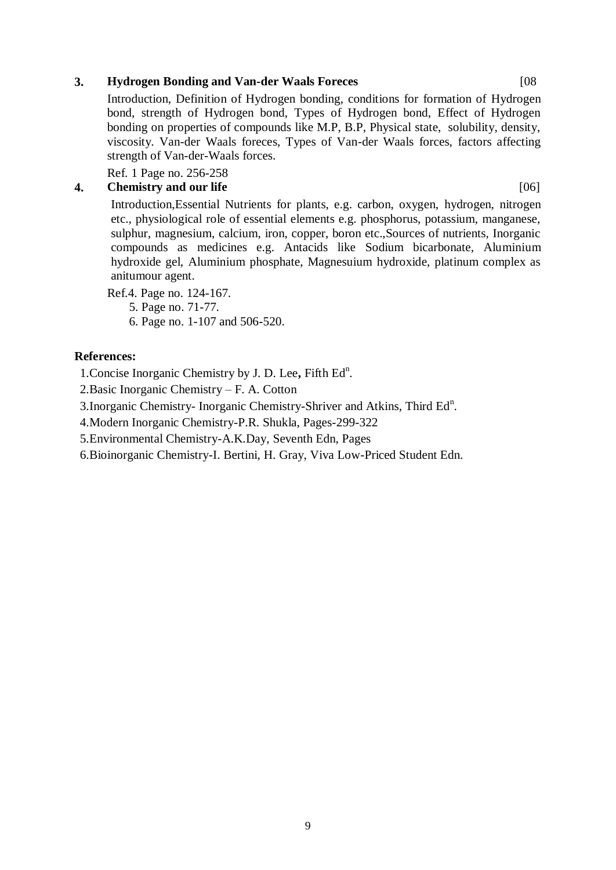# **3. Hydrogen Bonding and Van-der Waals Foreces** [08

Introduction, Definition of Hydrogen bonding, conditions for formation of Hydrogen bond, strength of Hydrogen bond, Types of Hydrogen bond, Effect of Hydrogen bonding on properties of compounds like M.P, B.P, Physical state, solubility, density, viscosity. Van-der Waals foreces, Types of Van-der Waals forces, factors affecting strength of Van-der-Waals forces.

Ref. 1 Page no. 256-258

# **4. Chemistry and our life** [06]

Introduction,Essential Nutrients for plants, e.g. carbon, oxygen, hydrogen, nitrogen etc., physiological role of essential elements e.g. phosphorus, potassium, manganese, sulphur, magnesium, calcium, iron, copper, boron etc.,Sources of nutrients, Inorganic compounds as medicines e.g. Antacids like Sodium bicarbonate, Aluminium hydroxide gel, Aluminium phosphate, Magnesuium hydroxide, platinum complex as anitumour agent.

Ref.4. Page no. 124-167.

5. Page no. 71-77.

6. Page no. 1-107 and 506-520.

# **References:**

1. Concise Inorganic Chemistry by J. D. Lee, Fifth Ed<sup>n</sup>.

2.Basic Inorganic Chemistry – F. A. Cotton

3. Inorganic Chemistry- Inorganic Chemistry-Shriver and Atkins, Third Ed<sup>n</sup>.

4.Modern Inorganic Chemistry-P.R. Shukla, Pages-299-322

5.Environmental Chemistry-A.K.Day, Seventh Edn, Pages

6.Bioinorganic Chemistry-I. Bertini, H. Gray, Viva Low-Priced Student Edn.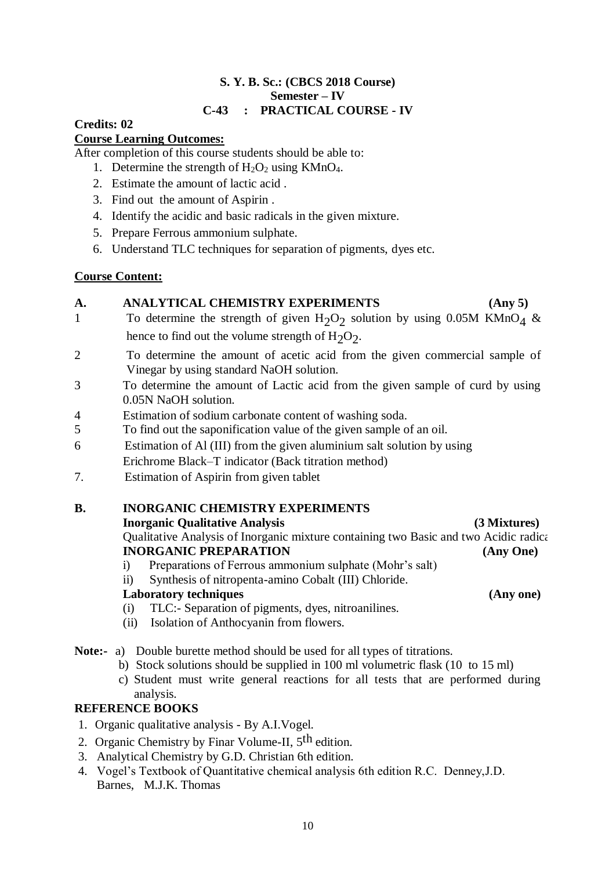# **S. Y. B. Sc.: (CBCS 2018 Course) Semester – IV C-43 : PRACTICAL COURSE - IV**

# **Credits: 02**

# **Course Learning Outcomes:**

After completion of this course students should be able to:

- 1. Determine the strength of  $H_2O_2$  using KMnO<sub>4</sub>.
- 2. Estimate the amount of lactic acid .
- 3. Find out the amount of Aspirin .
- 4. Identify the acidic and basic radicals in the given mixture.
- 5. Prepare Ferrous ammonium sulphate.
- 6. Understand TLC techniques for separation of pigments, dyes etc.

# **Course Content:**

# **A. ANALYTICAL CHEMISTRY EXPERIMENTS (Any 5)**

- 1 To determine the strength of given  $H_2O_2$  solution by using 0.05M KMnO<sub>4</sub> & hence to find out the volume strength of  $H_2O_2$ .
- 2 To determine the amount of acetic acid from the given commercial sample of Vinegar by using standard NaOH solution.
- 3 To determine the amount of Lactic acid from the given sample of curd by using 0.05N NaOH solution.
- 4 Estimation of sodium carbonate content of washing soda.
- 5 To find out the saponification value of the given sample of an oil.
- 6 Estimation of Al (III) from the given aluminium salt solution by using Erichrome Black–T indicator (Back titration method)
- 7. Estimation of Aspirin from given tablet

# **B. INORGANIC CHEMISTRY EXPERIMENTS**

# **Inorganic Qualitative Analysis (3 Mixtures)**

# Qualitative Analysis of Inorganic mixture containing two Basic and two Acidic radical **INORGANIC PREPARATION (Any One)**

i) Preparations of Ferrous ammonium sulphate (Mohr's salt)

ii) Synthesis of nitropenta-amino Cobalt (III) Chloride.

# **Laboratory techniques (Any one)**

- (i) TLC:- Separation of pigments, dyes, nitroanilines.
- (ii) Isolation of Anthocyanin from flowers.
- **Note:-** a) Double burette method should be used for all types of titrations.
	- b) Stock solutions should be supplied in 100 ml volumetric flask (10 to 15 ml)
	- c) Student must write general reactions for all tests that are performed during analysis.

# **REFERENCE BOOKS**

- 1. Organic qualitative analysis By A.I.Vogel.
- 2. Organic Chemistry by Finar Volume-II,  $5<sup>th</sup>$  edition.
- 3. Analytical Chemistry by G.D. Christian 6th edition.
- 4. Vogel's Textbook of Quantitative chemical analysis 6th edition R.C. Denney,J.D. Barnes, M.J.K. Thomas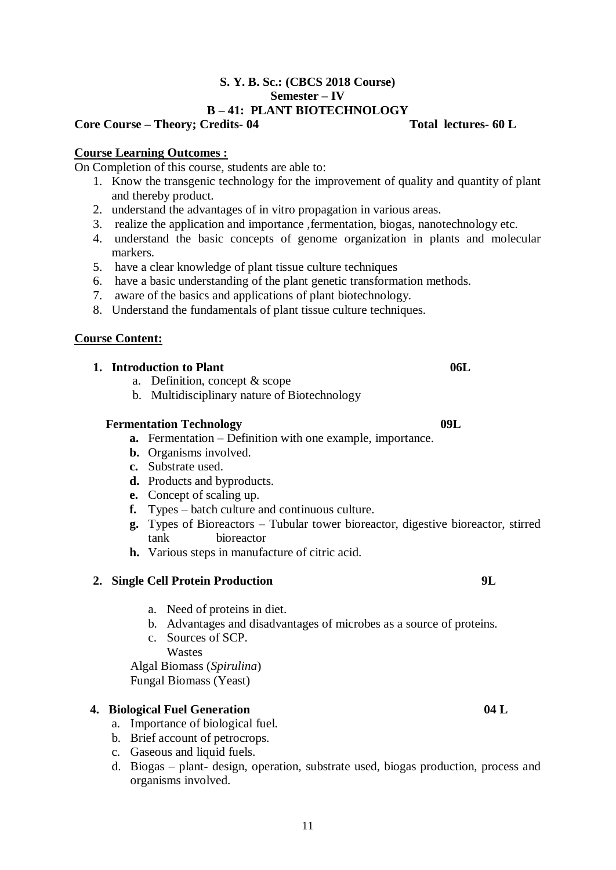# **S. Y. B. Sc.: (CBCS 2018 Course) Semester – IV B – 41: PLANT BIOTECHNOLOGY**

# **Core Course – Theory; Credits- 04 Total lectures- 60 L**

# **Course Learning Outcomes :**

On Completion of this course, students are able to:

- 1. Know the transgenic technology for the improvement of quality and quantity of plant and thereby product.
- 2. understand the advantages of in vitro propagation in various areas.
- 3. realize the application and importance ,fermentation, biogas, nanotechnology etc.
- 4. understand the basic concepts of genome organization in plants and molecular markers.
- 5. have a clear knowledge of plant tissue culture techniques
- 6. have a basic understanding of the plant genetic transformation methods.
- 7. aware of the basics and applications of plant biotechnology.
- 8. Understand the fundamentals of plant tissue culture techniques.

# **Course Content:**

# **1. Introduction to Plant 06L 06L**

- a. Definition, concept & scope
- b. Multidisciplinary nature of Biotechnology

# **Fermentation Technology** 09L

- **a.** Fermentation Definition with one example, importance.
- **b.** Organisms involved.
- **c.** Substrate used.
- **d.** Products and byproducts.
- **e.** Concept of scaling up.
- **f.** Types batch culture and continuous culture.
- **g.** Types of Bioreactors Tubular tower bioreactor, digestive bioreactor, stirred tank bioreactor
- **h.** Various steps in manufacture of citric acid.

# **2. Single Cell Protein Production 9L**

- a. Need of proteins in diet.
- b. Advantages and disadvantages of microbes as a source of proteins.
- c. Sources of SCP. Wastes

Algal Biomass (*Spirulina*) Fungal Biomass (Yeast)

# **4. Biological Fuel Generation 04 L**

- a. Importance of biological fuel.
- b. Brief account of petrocrops.
- c. Gaseous and liquid fuels.
- d. Biogas plant- design, operation, substrate used, biogas production, process and organisms involved.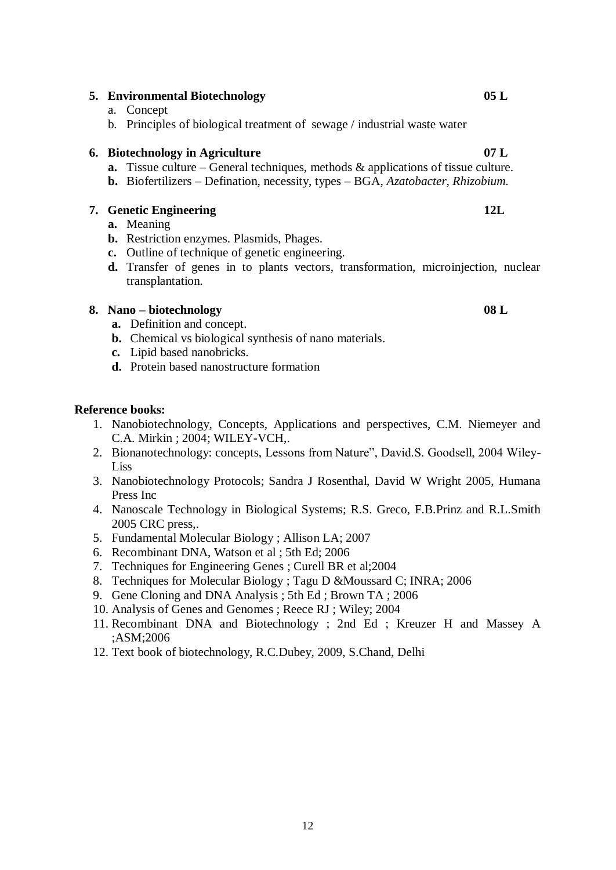# **5. Environmental Biotechnology 05 L**

- a. Concept
- b. Principles of biological treatment of sewage / industrial waste water

# **6. Biotechnology in Agriculture 07 L**

- **a.** Tissue culture General techniques, methods & applications of tissue culture.
- **b.** Biofertilizers Defination, necessity, types BGA, *Azatobacter, Rhizobium.*

# **7. Genetic Engineering 12L**

- **a.** Meaning
- **b.** Restriction enzymes. Plasmids, Phages.
- **c.** Outline of technique of genetic engineering.
- **d.** Transfer of genes in to plants vectors, transformation, microinjection, nuclear transplantation.

# **8. Nano – biotechnology 08 L**

- **a.** Definition and concept.
- **b.** Chemical vs biological synthesis of nano materials.
- **c.** Lipid based nanobricks.
- **d.** Protein based nanostructure formation

# **Reference books:**

- 1. Nanobiotechnology, Concepts, Applications and perspectives, C.M. Niemeyer and C.A. Mirkin ; 2004; WILEY-VCH,.
- 2. Bionanotechnology: concepts, Lessons from Nature", David.S. Goodsell, 2004 Wiley-Liss
- 3. Nanobiotechnology Protocols; Sandra J Rosenthal, David W Wright 2005, Humana Press Inc
- 4. Nanoscale Technology in Biological Systems; R.S. Greco, F.B.Prinz and R.L.Smith 2005 CRC press,.
- 5. Fundamental Molecular Biology ; Allison LA; 2007
- 6. Recombinant DNA, Watson et al ; 5th Ed; 2006
- 7. Techniques for Engineering Genes ; Curell BR et al;2004
- 8. Techniques for Molecular Biology ; Tagu D &Moussard C; INRA; 2006
- 9. Gene Cloning and DNA Analysis ; 5th Ed ; Brown TA ; 2006
- 10. Analysis of Genes and Genomes ; Reece RJ ; Wiley; 2004
- 11. Recombinant DNA and Biotechnology ; 2nd Ed ; Kreuzer H and Massey A ;ASM;2006
- 12. Text book of biotechnology, R.C.Dubey, 2009, S.Chand, Delhi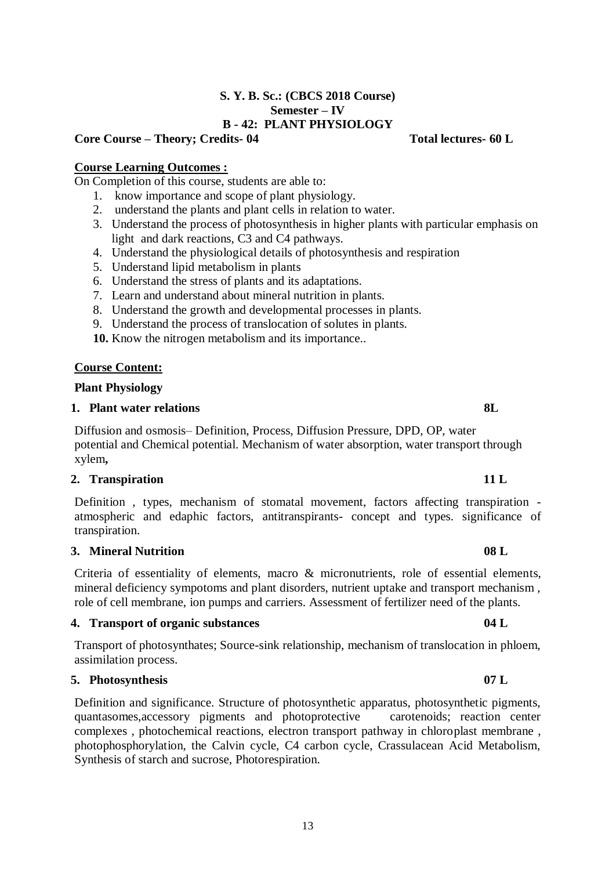# **S. Y. B. Sc.: (CBCS 2018 Course) Semester – IV B - 42: PLANT PHYSIOLOGY**

# **Core Course – Theory; Credits- 04 Total lectures- 60 L**

# **Course Learning Outcomes :**

On Completion of this course, students are able to:

- 1. know importance and scope of plant physiology.
- 2. understand the plants and plant cells in relation to water.
- 3. Understand the process of photosynthesis in higher plants with particular emphasis on light and dark reactions, C3 and C4 pathways.
- 4. Understand the physiological details of photosynthesis and respiration
- 5. Understand lipid metabolism in plants
- 6. Understand the stress of plants and its adaptations.
- 7. Learn and understand about mineral nutrition in plants.
- 8. Understand the growth and developmental processes in plants.
- 9. Understand the process of translocation of solutes in plants.
- **10.** Know the nitrogen metabolism and its importance..

# **Course Content:**

## **Plant Physiology**

## **1. Plant water relations** 8L

Diffusion and osmosis– Definition, Process, Diffusion Pressure, DPD, OP, water potential and Chemical potential. Mechanism of water absorption, water transport through xylem**,** 

# **2. Transpiration 11 L**

Definition , types, mechanism of stomatal movement, factors affecting transpiration atmospheric and edaphic factors, antitranspirants- concept and types. significance of transpiration.

# **3. Mineral Nutrition 08 L**

Criteria of essentiality of elements, macro & micronutrients, role of essential elements, mineral deficiency sympotoms and plant disorders, nutrient uptake and transport mechanism , role of cell membrane, ion pumps and carriers. Assessment of fertilizer need of the plants.

# **4. Transport of organic substances 04 L**

Transport of photosynthates; Source-sink relationship, mechanism of translocation in phloem, assimilation process.

# **5. Photosynthesis 07 L**

Definition and significance. Structure of photosynthetic apparatus, photosynthetic pigments, quantasomes,accessory pigments and photoprotective carotenoids; reaction center complexes , photochemical reactions, electron transport pathway in chloroplast membrane , photophosphorylation, the Calvin cycle, C4 carbon cycle, Crassulacean Acid Metabolism, Synthesis of starch and sucrose, Photorespiration.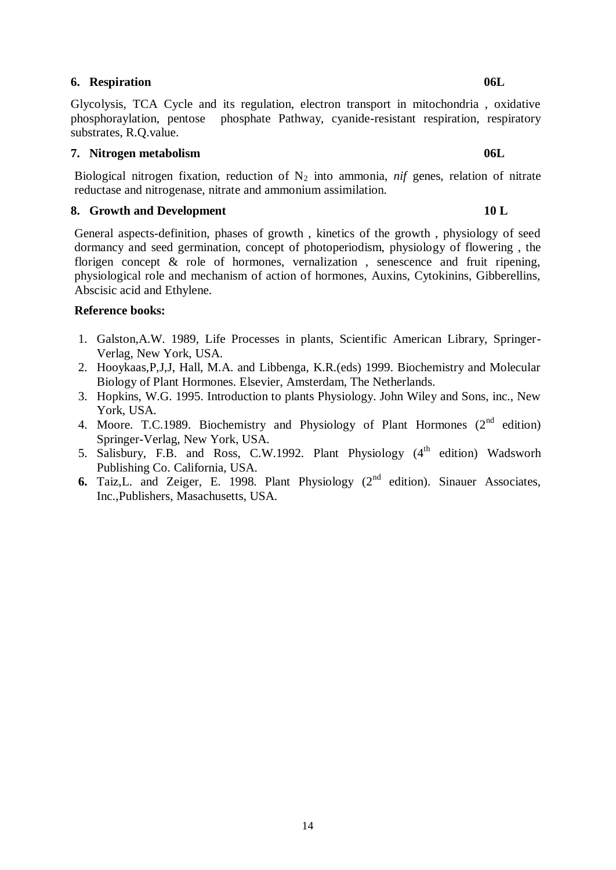# **6. Respiration 06L**

Glycolysis, TCA Cycle and its regulation, electron transport in mitochondria , oxidative phosphoraylation, pentose phosphate Pathway, cyanide-resistant respiration, respiratory substrates, R.Q.value.

# **7. Nitrogen metabolism 06L**

Biological nitrogen fixation, reduction of  $N_2$  into ammonia, *nif* genes, relation of nitrate reductase and nitrogenase, nitrate and ammonium assimilation.

# **8. Growth and Development 10 L**

General aspects-definition, phases of growth , kinetics of the growth , physiology of seed dormancy and seed germination, concept of photoperiodism, physiology of flowering , the florigen concept  $\&$  role of hormones, vernalization, senescence and fruit ripening, physiological role and mechanism of action of hormones, Auxins, Cytokinins, Gibberellins, Abscisic acid and Ethylene.

# **Reference books:**

- 1. Galston,A.W. 1989, Life Processes in plants, Scientific American Library, Springer-Verlag, New York, USA.
- 2. Hooykaas,P,J,J, Hall, M.A. and Libbenga, K.R.(eds) 1999. Biochemistry and Molecular Biology of Plant Hormones. Elsevier, Amsterdam, The Netherlands.
- 3. Hopkins, W.G. 1995. Introduction to plants Physiology. John Wiley and Sons, inc., New York, USA.
- 4. Moore. T.C.1989. Biochemistry and Physiology of Plant Hormones  $(2^{nd}$  edition) Springer-Verlag, New York, USA.
- 5. Salisbury, F.B. and Ross, C.W.1992. Plant Physiology  $(4<sup>th</sup>$  edition) Wadsworh Publishing Co. California, USA.
- **6.** Taiz, L. and Zeiger, E. 1998. Plant Physiology  $(2<sup>nd</sup>$  edition). Sinauer Associates, Inc.,Publishers, Masachusetts, USA.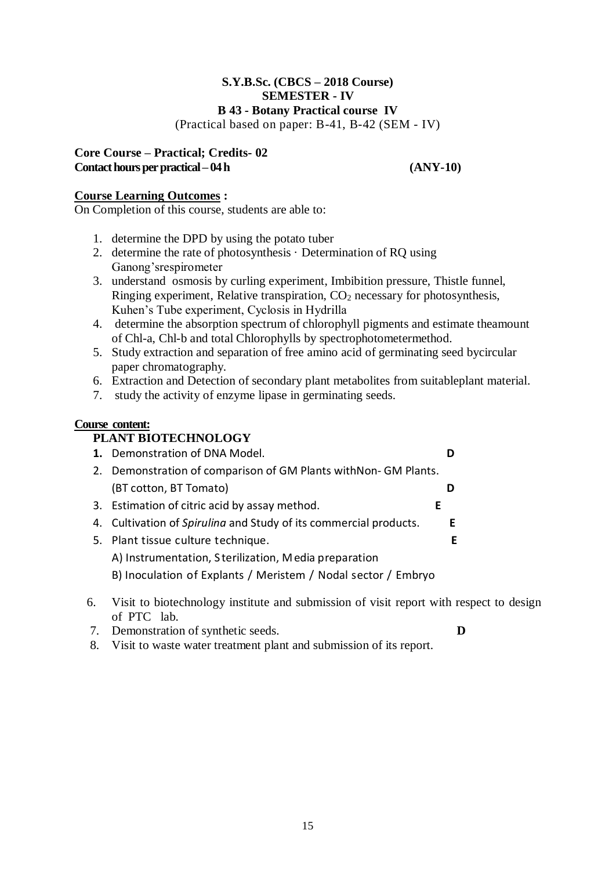# **S.Y.B.Sc. (CBCS – 2018 Course) SEMESTER - IV B 43 - Botany Practical course IV**

(Practical based on paper: B-41, B-42 (SEM - IV)

# **Core Course – Practical; Credits- 02 Contact hours per practical – 04 h (ANY-10)**

# **Course Learning Outcomes :**

On Completion of this course, students are able to:

- 1. determine the DPD by using the potato tuber
- 2. determine the rate of photosynthesis · Determination of RQ using Ganong'srespirometer
- 3. understand osmosis by curling experiment, Imbibition pressure, Thistle funnel, Ringing experiment, Relative transpiration,  $CO<sub>2</sub>$  necessary for photosynthesis, Kuhen's Tube experiment, Cyclosis in Hydrilla
- 4. determine the absorption spectrum of chlorophyll pigments and estimate theamount of Chl-a, Chl-b and total Chlorophylls by spectrophotometermethod.
- 5. Study extraction and separation of free amino acid of germinating seed bycircular paper chromatography.
- 6. Extraction and Detection of secondary plant metabolites from suitableplant material.
- 7. study the activity of enzyme lipase in germinating seeds.

# **Course content:**

# **PLANT BIOTECHNOLOGY**

| 1. Demonstration of DNA Model.                                    |    |
|-------------------------------------------------------------------|----|
| 2. Demonstration of comparison of GM Plants with Non-GM Plants.   |    |
| (BT cotton, BT Tomato)                                            |    |
| 3. Estimation of citric acid by assay method.<br>E                |    |
| 4. Cultivation of Spirulina and Study of its commercial products. | E  |
| 5. Plant tissue culture technique.                                | E. |
| A) Instrumentation, Sterilization, Media preparation              |    |
| B) Inoculation of Explants / Meristem / Nodal sector / Embryo     |    |

- 6. Visit to biotechnology institute and submission of visit report with respect to design of PTC lab.
- 7. Demonstration of synthetic seeds. **D**
- 
- 8. Visit to waste water treatment plant and submission of its report.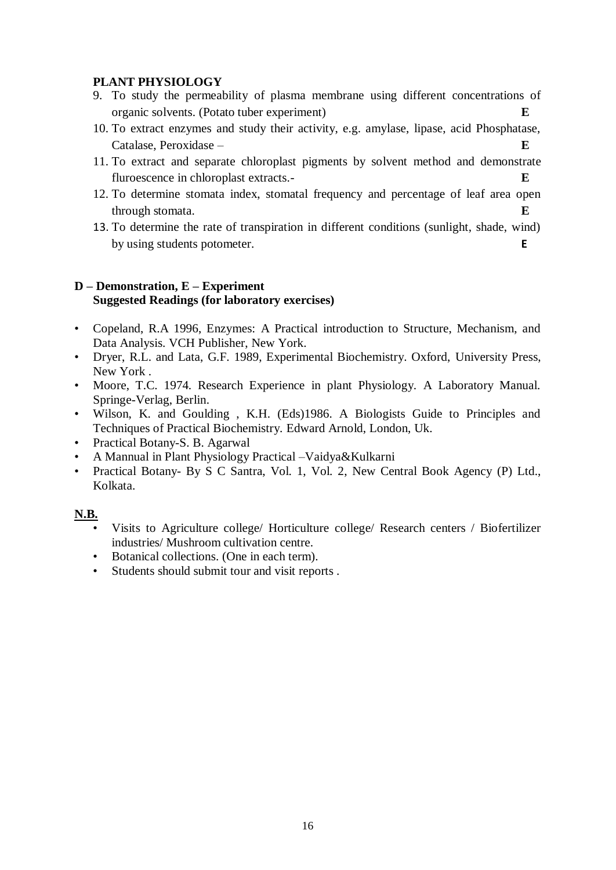# **PLANT PHYSIOLOGY**

- 9. To study the permeability of plasma membrane using different concentrations of organic solvents. (Potato tuber experiment) **E**
- 10. To extract enzymes and study their activity, e.g. amylase, lipase, acid Phosphatase, Catalase, Peroxidase – **E**
- 11. To extract and separate chloroplast pigments by solvent method and demonstrate fluroescence in chloroplast extracts.- **E**
- 12. To determine stomata index, stomatal frequency and percentage of leaf area open through stomata. **E**
- 13. To determine the rate of transpiration in different conditions (sunlight, shade, wind) by using students potometer. **E**

# **D – Demonstration, E – Experiment Suggested Readings (for laboratory exercises)**

- Copeland, R.A 1996, Enzymes: A Practical introduction to Structure, Mechanism, and Data Analysis. VCH Publisher, New York.
- Dryer, R.L. and Lata, G.F. 1989, Experimental Biochemistry. Oxford, University Press, New York .
- Moore, T.C. 1974. Research Experience in plant Physiology. A Laboratory Manual. Springe-Verlag, Berlin.
- Wilson, K. and Goulding , K.H. (Eds)1986. A Biologists Guide to Principles and Techniques of Practical Biochemistry. Edward Arnold, London, Uk.
- Practical Botany-S. B. Agarwal
- A Mannual in Plant Physiology Practical –Vaidya&Kulkarni
- Practical Botany- By S C Santra, Vol. 1, Vol. 2, New Central Book Agency (P) Ltd., Kolkata.

# **N.B.**

- Visits to Agriculture college/ Horticulture college/ Research centers / Biofertilizer industries/ Mushroom cultivation centre.
- Botanical collections. (One in each term).
- Students should submit tour and visit reports .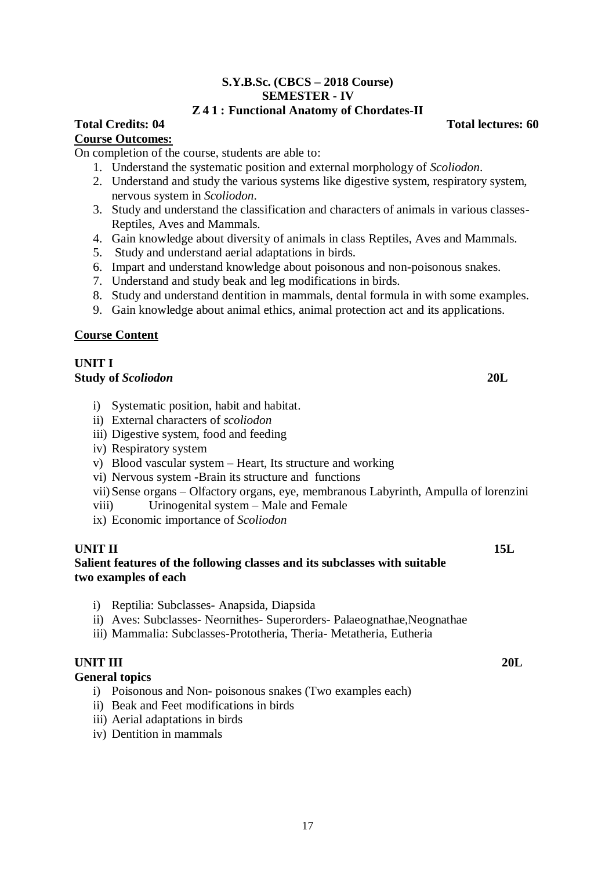# **S.Y.B.Sc. (CBCS – 2018 Course) SEMESTER - IV**

# **Z 4 1 : Functional Anatomy of Chordates-II**

# **Course Outcomes:**

On completion of the course, students are able to:

- 1. Understand the systematic position and external morphology of *Scoliodon*.
- 2. Understand and study the various systems like digestive system, respiratory system, nervous system in *Scoliodon*.
- 3. Study and understand the classification and characters of animals in various classes-Reptiles, Aves and Mammals.
- 4. Gain knowledge about diversity of animals in class Reptiles, Aves and Mammals.
- 5. Study and understand aerial adaptations in birds.
- 6. Impart and understand knowledge about poisonous and non-poisonous snakes.
- 7. Understand and study beak and leg modifications in birds.
- 8. Study and understand dentition in mammals, dental formula in with some examples.
- 9. Gain knowledge about animal ethics, animal protection act and its applications.

# **Course Content**

# **UNIT I**

# **Study of** *Scoliodon* **20L**

- i) Systematic position, habit and habitat.
- ii) External characters of *scoliodon*
- iii) Digestive system, food and feeding
- iv) Respiratory system
- v) Blood vascular system Heart, Its structure and working
- vi) Nervous system -Brain its structure and functions
- vii) Sense organs Olfactory organs, eye, membranous Labyrinth, Ampulla of lorenzini
- viii) Urinogenital system Male and Female
- ix) Economic importance of *Scoliodon*

# **UNIT II** 15L

# **Salient features of the following classes and its subclasses with suitable two examples of each**

- i) Reptilia: Subclasses- Anapsida, Diapsida
- ii) Aves: Subclasses- Neornithes- Superorders- Palaeognathae,Neognathae
- iii) Mammalia: Subclasses-Prototheria, Theria- Metatheria, Eutheria

# **UNIT III 20L**

# **General topics**

- i) Poisonous and Non- poisonous snakes (Two examples each)
- ii) Beak and Feet modifications in birds
- iii) Aerial adaptations in birds
- iv) Dentition in mammals

**Total Credits: 04 Total lectures: 60**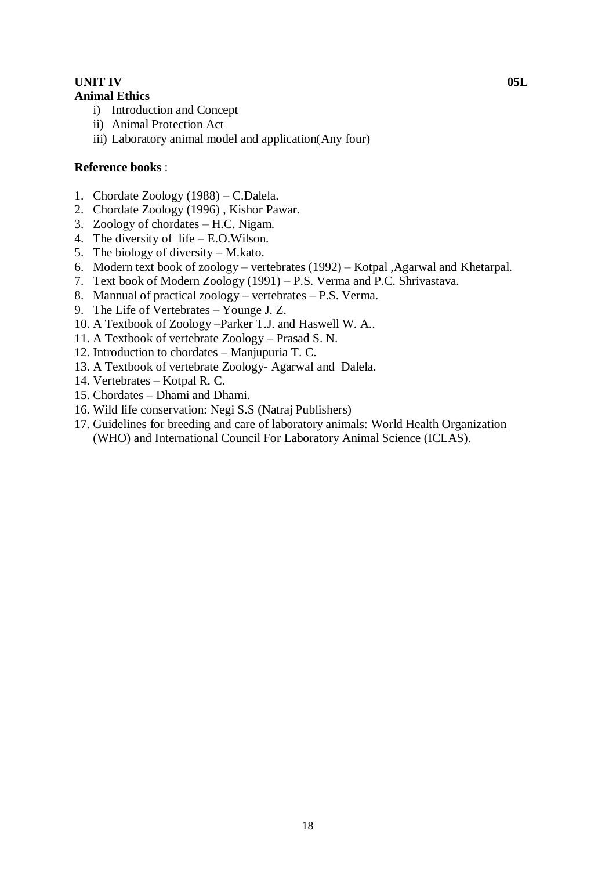# **UNIT IV** 05L

# **Animal Ethics**

- i) Introduction and Concept
- ii) Animal Protection Act
- iii) Laboratory animal model and application(Any four)

# **Reference books** :

- 1. Chordate Zoology (1988) C.Dalela.
- 2. Chordate Zoology (1996) , Kishor Pawar.
- 3. Zoology of chordates H.C. Nigam.
- 4. The diversity of life E.O.Wilson.
- 5. The biology of diversity M.kato.
- 6. Modern text book of zoology vertebrates (1992) Kotpal ,Agarwal and Khetarpal.
- 7. Text book of Modern Zoology (1991) P.S. Verma and P.C. Shrivastava.
- 8. Mannual of practical zoology vertebrates P.S. Verma.
- 9. The Life of Vertebrates Younge J. Z.
- 10. A Textbook of Zoology –Parker T.J. and Haswell W. A..
- 11. A Textbook of vertebrate Zoology Prasad S. N.
- 12. Introduction to chordates Manjupuria T. C.
- 13. A Textbook of vertebrate Zoology- Agarwal and Dalela.
- 14. Vertebrates Kotpal R. C.
- 15. Chordates Dhami and Dhami.
- 16. Wild life conservation: Negi S.S (Natraj Publishers)
- 17. Guidelines for breeding and care of laboratory animals: World Health Organization (WHO) and International Council For Laboratory Animal Science (ICLAS).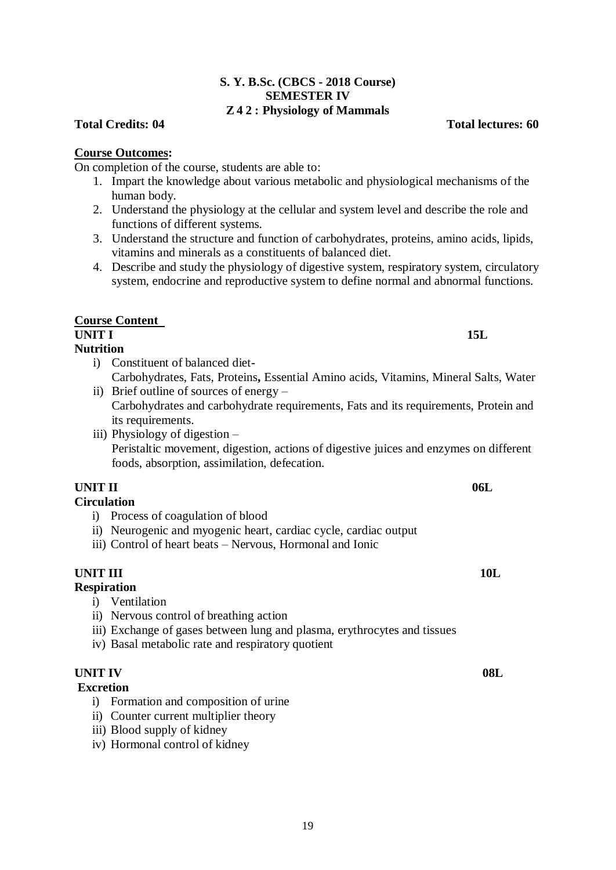# On completion of the course, students are able to:

**S. Y. B.Sc. (CBCS - 2018 Course) SEMESTER IV**

- 1. Impart the knowledge about various metabolic and physiological mechanisms of the human body.
- 2. Understand the physiology at the cellular and system level and describe the role and functions of different systems.
- 3. Understand the structure and function of carbohydrates, proteins, amino acids, lipids, vitamins and minerals as a constituents of balanced diet.
- 4. Describe and study the physiology of digestive system, respiratory system, circulatory system, endocrine and reproductive system to define normal and abnormal functions.

# **Course Content**

**Course Outcomes:**

# **UNIT I** 15L

# **Nutrition**

- i) Constituent of balanced diet-Carbohydrates, Fats, Proteins**,** Essential Amino acids, Vitamins, Mineral Salts, Water
- ii) Brief outline of sources of energy Carbohydrates and carbohydrate requirements, Fats and its requirements, Protein and its requirements.
- iii) Physiology of digestion Peristaltic movement, digestion, actions of digestive juices and enzymes on different foods, absorption, assimilation, defecation.

# **UNIT II** 06L

# **Circulation**

- i) Process of coagulation of blood
- ii) Neurogenic and myogenic heart, cardiac cycle, cardiac output
- iii) Control of heart beats Nervous, Hormonal and Ionic

# **UNIT III** 10L

# **Respiration**

- i) Ventilation
- ii) Nervous control of breathing action
- iii) Exchange of gases between lung and plasma, erythrocytes and tissues
- iv) Basal metabolic rate and respiratory quotient

# **UNIT IV** 08L

# **Excretion**

- i) Formation and composition of urine
- ii) Counter current multiplier theory
- iii) Blood supply of kidney
- iv) Hormonal control of kidney

# **Z 4 2 : Physiology of Mammals**

**Total Credits: 04 Total lectures: 60**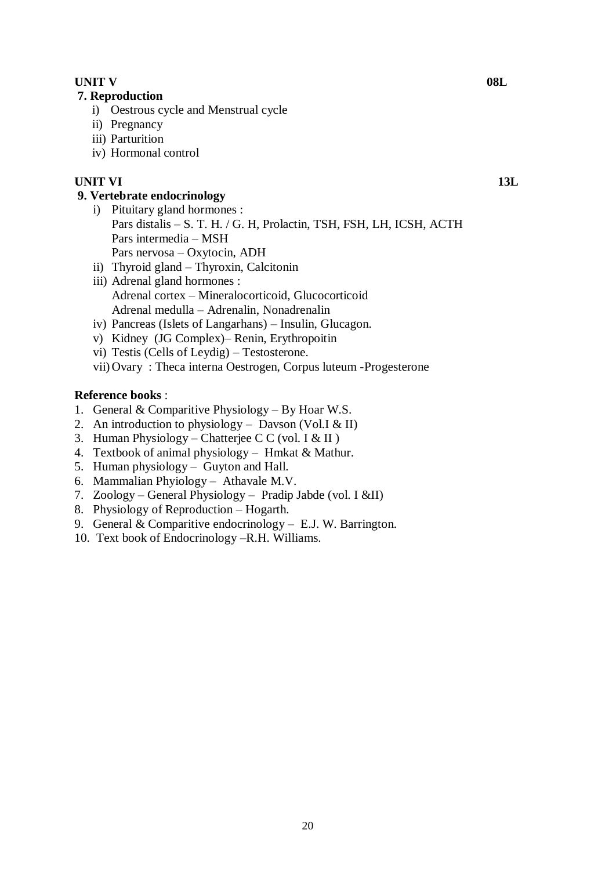# **UNIT V** 08L

# **7. Reproduction**

- i) Oestrous cycle and Menstrual cycle
- ii) Pregnancy
- iii) Parturition
- iv) Hormonal control

# **UNIT VI 13L**

# **9. Vertebrate endocrinology**

- i) Pituitary gland hormones : Pars distalis – S. T. H. / G. H, Prolactin, TSH, FSH, LH, ICSH, ACTH Pars intermedia – MSH Pars nervosa – Oxytocin, ADH ii) Thyroid gland – Thyroxin, Calcitonin
- iii) Adrenal gland hormones : Adrenal cortex – Mineralocorticoid, Glucocorticoid Adrenal medulla – Adrenalin, Nonadrenalin
- iv) Pancreas (Islets of Langarhans) Insulin, Glucagon.
- v) Kidney (JG Complex)– Renin, Erythropoitin
- vi) Testis (Cells of Leydig) Testosterone.
- vii) Ovary : Theca interna Oestrogen, Corpus luteum -Progesterone

# **Reference books** :

- 1. General & Comparitive Physiology By Hoar W.S.
- 2. An introduction to physiology Davson (Vol. I & II)
- 3. Human Physiology Chatterjee C C (vol. I  $&$  II)
- 4. Textbook of animal physiology Hmkat & Mathur.
- 5. Human physiology Guyton and Hall.
- 6. Mammalian Phyiology Athavale M.V.
- 7. Zoology General Physiology Pradip Jabde (vol. I &II)
- 8. Physiology of Reproduction Hogarth.
- 9. General & Comparitive endocrinology E.J. W. Barrington.
- 10. Text book of Endocrinology –R.H. Williams.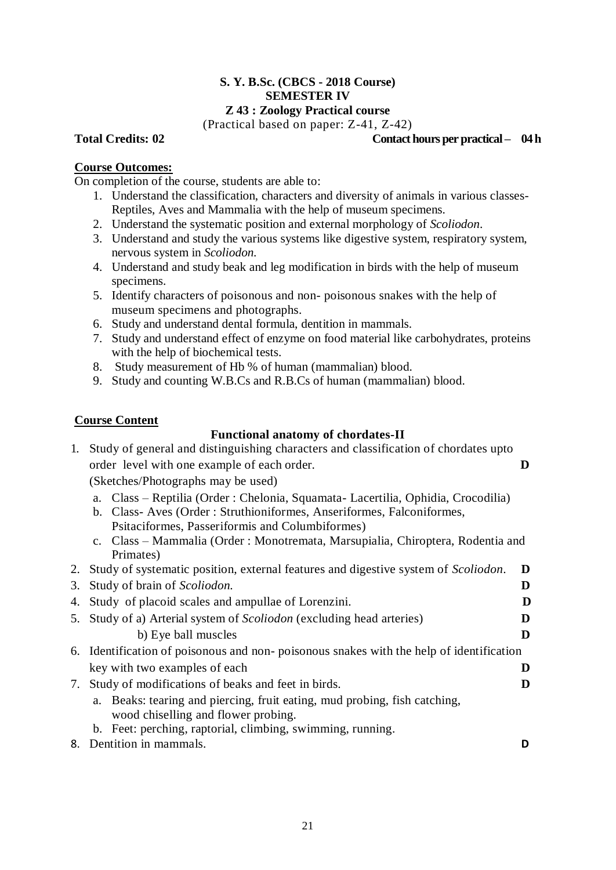# **S. Y. B.Sc. (CBCS - 2018 Course) SEMESTER IV**

# **Z 43 : Zoology Practical course**

(Practical based on paper: Z-41, Z-42)

# **Total Credits: 02 Contact hours per practical – 04 h**

# **Course Outcomes:**

On completion of the course, students are able to:

- 1. Understand the classification, characters and diversity of animals in various classes-Reptiles, Aves and Mammalia with the help of museum specimens.
- 2. Understand the systematic position and external morphology of *Scoliodon*.
- 3. Understand and study the various systems like digestive system, respiratory system, nervous system in *Scoliodon.*
- 4. Understand and study beak and leg modification in birds with the help of museum specimens.
- 5. Identify characters of poisonous and non- poisonous snakes with the help of museum specimens and photographs.
- 6. Study and understand dental formula, dentition in mammals.
- 7. Study and understand effect of enzyme on food material like carbohydrates, proteins with the help of biochemical tests.
- 8. Study measurement of Hb % of human (mammalian) blood.
- 9. Study and counting W.B.Cs and R.B.Cs of human (mammalian) blood.

# **Course Content**

# **Functional anatomy of chordates-II**

1. Study of general and distinguishing characters and classification of chordates upto order level with one example of each order. **D**

(Sketches/Photographs may be used)

- a. Class Reptilia (Order : Chelonia, Squamata- Lacertilia, Ophidia, Crocodilia)
- b. Class- Aves (Order : Struthioniformes, Anseriformes, Falconiformes, Psitaciformes, Passeriformis and Columbiformes)
- c. Class Mammalia (Order : Monotremata, Marsupialia, Chiroptera, Rodentia and Primates)
- 2. Study of systematic position, external features and digestive system of *Scoliodon*. **D**

|    | 3. Study of brain of Scoliodon.                                                                                  |   |
|----|------------------------------------------------------------------------------------------------------------------|---|
|    | 4. Study of placoid scales and ampullae of Lorenzini.                                                            | D |
|    | 5. Study of a) Arterial system of <i>Scoliodon</i> (excluding head arteries)                                     |   |
|    | b) Eye ball muscles                                                                                              | D |
|    | 6. Identification of poisonous and non-poisonous snakes with the help of identification                          |   |
|    | key with two examples of each                                                                                    |   |
|    | 7. Study of modifications of beaks and feet in birds.                                                            |   |
|    | a. Beaks: tearing and piercing, fruit eating, mud probing, fish catching,<br>wood chiselling and flower probing. |   |
|    | b. Feet: perching, raptorial, climbing, swimming, running.                                                       |   |
| 8. | Dentition in mammals.                                                                                            |   |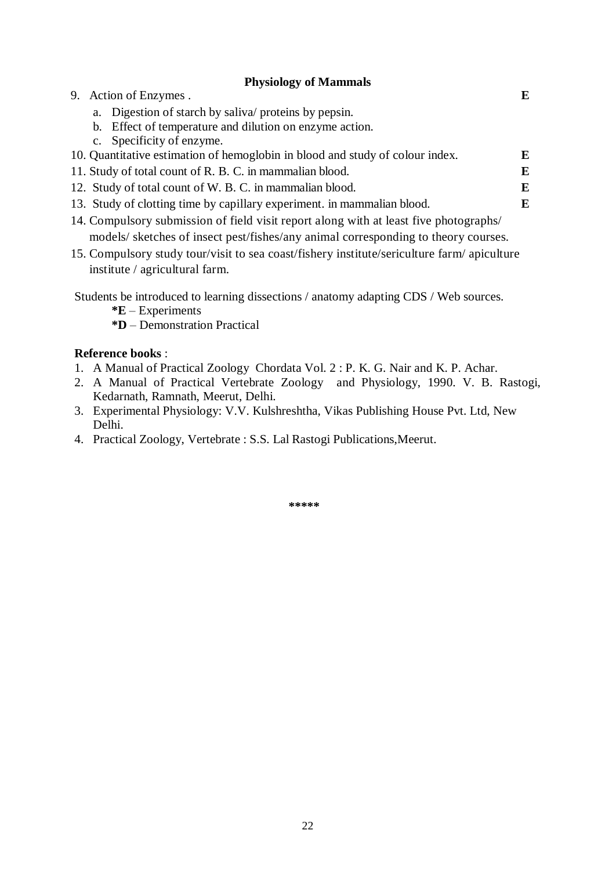# **Physiology of Mammals**

| $11,01010,$ , $011.1$                                                                       |   |  |
|---------------------------------------------------------------------------------------------|---|--|
| 9. Action of Enzymes.                                                                       | E |  |
| a. Digestion of starch by salival proteins by pepsin.                                       |   |  |
| b. Effect of temperature and dilution on enzyme action.                                     |   |  |
| c. Specificity of enzyme.                                                                   |   |  |
| 10. Quantitative estimation of hemoglobin in blood and study of colour index.               | E |  |
| 11. Study of total count of R. B. C. in mammalian blood.                                    |   |  |
| 12. Study of total count of W. B. C. in mammalian blood.                                    |   |  |
| 13. Study of clotting time by capillary experiment. in mammalian blood.                     |   |  |
| 14. Compulsory submission of field visit report along with at least five photographs/       |   |  |
| models/ sketches of insect pest/fishes/any animal corresponding to theory courses.          |   |  |
| 15. Compulsory study tour/visit to sea coast/fishery institute/sericulture farm/ apiculture |   |  |
| institute / agricultural farm.                                                              |   |  |

Students be introduced to learning dissections / anatomy adapting CDS / Web sources.

**\*E** – Experiments

**\*D** – Demonstration Practical

# **Reference books** :

- 1. A Manual of Practical Zoology Chordata Vol. 2 : P. K. G. Nair and K. P. Achar.
- 2. A Manual of Practical Vertebrate Zoology and Physiology, 1990. V. B. Rastogi, Kedarnath, Ramnath, Meerut, Delhi.
- 3. Experimental Physiology: V.V. Kulshreshtha, Vikas Publishing House Pvt. Ltd, New Delhi.
- 4. Practical Zoology, Vertebrate : S.S. Lal Rastogi Publications,Meerut.

**\*\*\*\*\*\***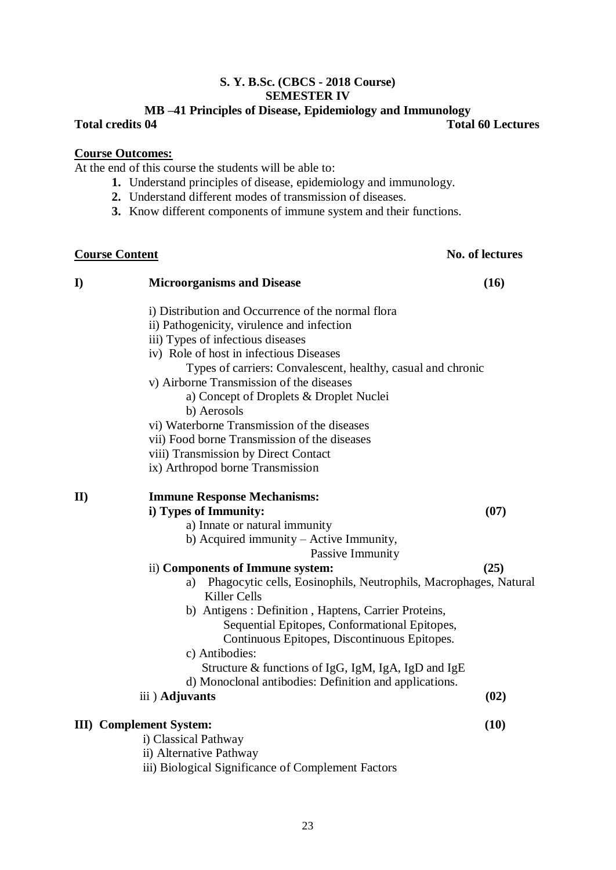# **S. Y. B.Sc. (CBCS - 2018 Course) SEMESTER IV**

# **MB –41 Principles of Disease, Epidemiology and Immunology**  $T$ otal 60 Lectures

# **Course Outcomes:**

At the end of this course the students will be able to:

- **1.** Understand principles of disease, epidemiology and immunology.
- **2.** Understand different modes of transmission of diseases.
- **3.** Know different components of immune system and their functions.

# **Course Content No. of lectures**

| $\bf{I}$      | <b>Microorganisms and Disease</b>                                      | (16) |
|---------------|------------------------------------------------------------------------|------|
|               | i) Distribution and Occurrence of the normal flora                     |      |
|               | ii) Pathogenicity, virulence and infection                             |      |
|               | iii) Types of infectious diseases                                      |      |
|               | iv) Role of host in infectious Diseases                                |      |
|               | Types of carriers: Convalescent, healthy, casual and chronic           |      |
|               | v) Airborne Transmission of the diseases                               |      |
|               | a) Concept of Droplets & Droplet Nuclei                                |      |
|               | b) Aerosols                                                            |      |
|               | vi) Waterborne Transmission of the diseases                            |      |
|               | vii) Food borne Transmission of the diseases                           |      |
|               | viii) Transmission by Direct Contact                                   |      |
|               | ix) Arthropod borne Transmission                                       |      |
| $\mathbf{II}$ | <b>Immune Response Mechanisms:</b>                                     |      |
|               | i) Types of Immunity:                                                  | (07) |
|               | a) Innate or natural immunity                                          |      |
|               | b) Acquired immunity - Active Immunity,                                |      |
|               | Passive Immunity                                                       |      |
|               | ii) Components of Immune system:                                       | (25) |
|               | Phagocytic cells, Eosinophils, Neutrophils, Macrophages, Natural<br>a) |      |
|               | <b>Killer Cells</b>                                                    |      |
|               | b) Antigens : Definition, Haptens, Carrier Proteins,                   |      |
|               | Sequential Epitopes, Conformational Epitopes,                          |      |
|               | Continuous Epitopes, Discontinuous Epitopes.                           |      |
|               | c) Antibodies:                                                         |      |
|               | Structure & functions of IgG, IgM, IgA, IgD and IgE                    |      |
|               | d) Monoclonal antibodies: Definition and applications.                 |      |
|               | iii) Adjuvants                                                         | (02) |
|               | <b>III</b> ) Complement System:                                        | (10) |
|               | i) Classical Pathway                                                   |      |
|               | ii) Alternative Pathway                                                |      |
|               | iii) Biological Significance of Complement Factors                     |      |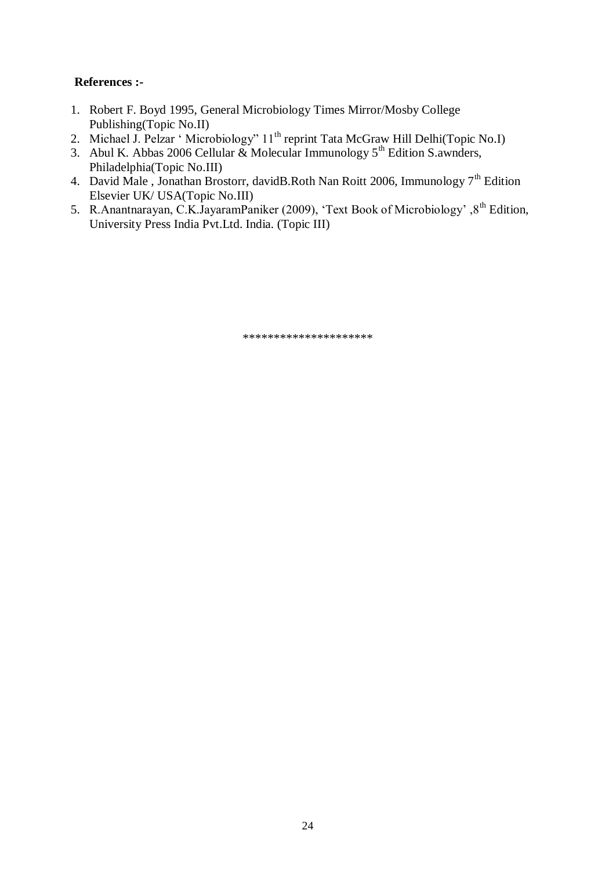# **References :-**

- 1. Robert F. Boyd 1995, General Microbiology Times Mirror/Mosby College Publishing(Topic No.II)
- 2. Michael J. Pelzar ' Microbiology" 11<sup>th</sup> reprint Tata McGraw Hill Delhi(Topic No.I)
- 3. Abul K. Abbas 2006 Cellular & Molecular Immunology  $5<sup>th</sup>$  Edition S.awnders, Philadelphia(Topic No.III)
- 4. David Male, Jonathan Brostorr, david B.Roth Nan Roitt 2006, Immunology  $7<sup>th</sup>$  Edition Elsevier UK/ USA(Topic No.III)
- 5. R.Anantnarayan, C.K.JayaramPaniker (2009), 'Text Book of Microbiology', 8<sup>th</sup> Edition, University Press India Pvt.Ltd. India. (Topic III)

\*\*\*\*\*\*\*\*\*\*\*\*\*\*\*\*\*\*\*\*\*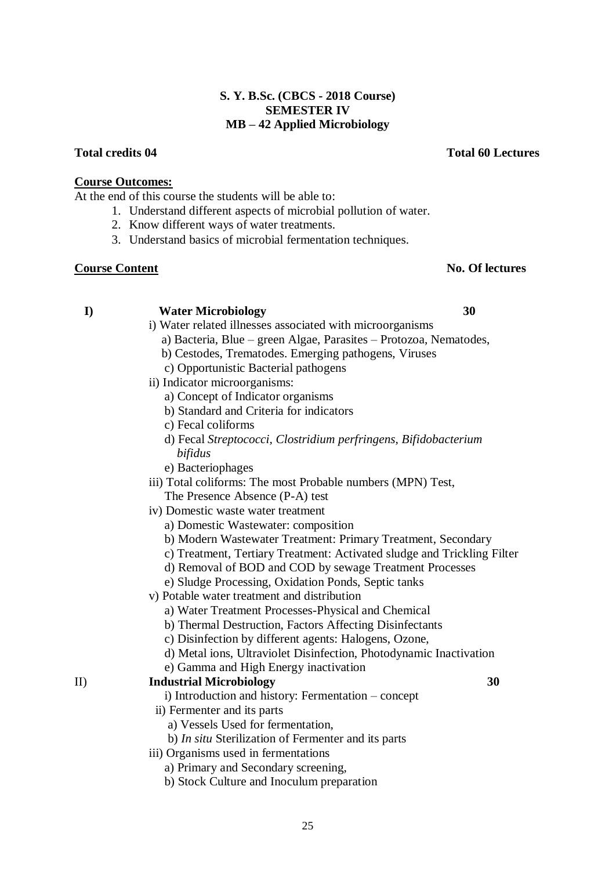# **S. Y. B.Sc. (CBCS - 2018 Course) SEMESTER IV MB – 42 Applied Microbiology**

# **Total credits 04 Total 60 Lectures**

# **Course Outcomes:**

At the end of this course the students will be able to:

- 1. Understand different aspects of microbial pollution of water.
- 2. Know different ways of water treatments.
- 3. Understand basics of microbial fermentation techniques.

# **Course Content No. Of lectures**

# **I) Water Microbiology 30**

- i) Water related illnesses associated with microorganisms
	- a) Bacteria, Blue green Algae, Parasites Protozoa, Nematodes,
	- b) Cestodes, Trematodes. Emerging pathogens, Viruses
	- c) Opportunistic Bacterial pathogens
- ii) Indicator microorganisms:
	- a) Concept of Indicator organisms
	- b) Standard and Criteria for indicators
	- c) Fecal coliforms
	- d) Fecal *Streptococci, Clostridium perfringens, Bifidobacterium bifidus*
	- e) Bacteriophages
- iii) Total coliforms: The most Probable numbers (MPN) Test, The Presence Absence (P-A) test
- iv) Domestic waste water treatment
	- a) Domestic Wastewater: composition
	- b) Modern Wastewater Treatment: Primary Treatment, Secondary
	- c) Treatment, Tertiary Treatment: Activated sludge and Trickling Filter
	- d) Removal of BOD and COD by sewage Treatment Processes
	- e) Sludge Processing, Oxidation Ponds, Septic tanks
- v) Potable water treatment and distribution
	- a) Water Treatment Processes-Physical and Chemical
	- b) Thermal Destruction, Factors Affecting Disinfectants
	- c) Disinfection by different agents: Halogens, Ozone,
	- d) Metal ions, Ultraviolet Disinfection, Photodynamic Inactivation
	- e) Gamma and High Energy inactivation

# II) **Industrial Microbiology 30**

- i) Introduction and history: Fermentation concept
- ii) Fermenter and its parts
	- a) Vessels Used for fermentation,
	- b) *In situ* Sterilization of Fermenter and its parts
- iii) Organisms used in fermentations
	- a) Primary and Secondary screening,
	- b) Stock Culture and Inoculum preparation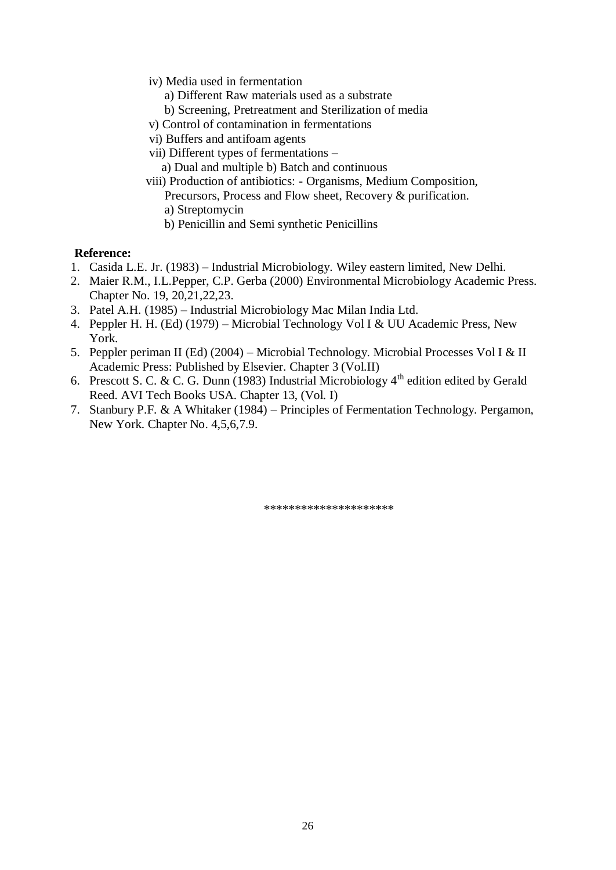- iv) Media used in fermentation
	- a) Different Raw materials used as a substrate
	- b) Screening, Pretreatment and Sterilization of media
- v) Control of contamination in fermentations
- vi) Buffers and antifoam agents
- vii) Different types of fermentations
	- a) Dual and multiple b) Batch and continuous
- viii) Production of antibiotics: Organisms, Medium Composition,
	- Precursors, Process and Flow sheet, Recovery & purification.
	- a) Streptomycin
	- b) Penicillin and Semi synthetic Penicillins

# **Reference:**

- 1. Casida L.E. Jr. (1983) Industrial Microbiology. Wiley eastern limited, New Delhi.
- 2. Maier R.M., I.L.Pepper, C.P. Gerba (2000) Environmental Microbiology Academic Press. Chapter No. 19, 20,21,22,23.
- 3. Patel A.H. (1985) Industrial Microbiology Mac Milan India Ltd.
- 4. Peppler H. H. (Ed) (1979) Microbial Technology Vol I & UU Academic Press, New York.
- 5. Peppler periman II (Ed) (2004) Microbial Technology. Microbial Processes Vol I & II Academic Press: Published by Elsevier. Chapter 3 (Vol.II)
- 6. Prescott S. C. & C. G. Dunn (1983) Industrial Microbiology  $4^{th}$  edition edited by Gerald Reed. AVI Tech Books USA. Chapter 13, (Vol. I)
- 7. Stanbury P.F. & A Whitaker (1984) Principles of Fermentation Technology. Pergamon, New York. Chapter No. 4,5,6,7.9.

\*\*\*\*\*\*\*\*\*\*\*\*\*\*\*\*\*\*\*\*\*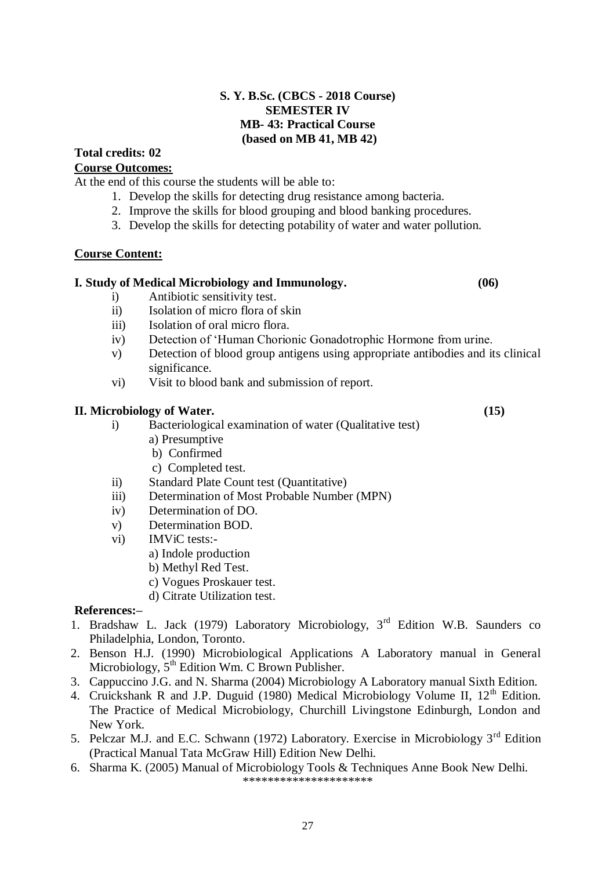# **S. Y. B.Sc. (CBCS - 2018 Course) SEMESTER IV MB- 43: Practical Course (based on MB 41, MB 42)**

# **Total credits: 02**

# **Course Outcomes:**

At the end of this course the students will be able to:

- 1. Develop the skills for detecting drug resistance among bacteria.
- 2. Improve the skills for blood grouping and blood banking procedures.
- 3. Develop the skills for detecting potability of water and water pollution.

# **Course Content:**

# **I. Study of Medical Microbiology and Immunology. (06)**

- i) Antibiotic sensitivity test.
- ii) Isolation of micro flora of skin
- iii) Isolation of oral micro flora.
- iv) Detection of 'Human Chorionic Gonadotrophic Hormone from urine.
- v) Detection of blood group antigens using appropriate antibodies and its clinical significance.
- vi) Visit to blood bank and submission of report.

# **II. Microbiology of Water. (15)**

- i) Bacteriological examination of water (Qualitative test) a) Presumptive
	- b) Confirmed
	- c) Completed test.
- ii) Standard Plate Count test (Quantitative)
- iii) Determination of Most Probable Number (MPN)
- iv) Determination of DO.
- v) Determination BOD.
- vi) IMViC tests:
	- a) Indole production
	- b) Methyl Red Test.
	- c) Vogues Proskauer test.
	- d) Citrate Utilization test.

# **References:–**

- 1. Bradshaw L. Jack (1979) Laboratory Microbiology, 3<sup>rd</sup> Edition W.B. Saunders co Philadelphia, London, Toronto.
- 2. Benson H.J. (1990) Microbiological Applications A Laboratory manual in General Microbiology,  $5<sup>th</sup>$  Edition Wm. C Brown Publisher.
- 3. Cappuccino J.G. and N. Sharma (2004) Microbiology A Laboratory manual Sixth Edition.
- 4. Cruickshank R and J.P. Duguid (1980) Medical Microbiology Volume II, 12<sup>th</sup> Edition. The Practice of Medical Microbiology, Churchill Livingstone Edinburgh, London and New York.
- 5. Pelczar M.J. and E.C. Schwann (1972) Laboratory. Exercise in Microbiology 3<sup>rd</sup> Edition (Practical Manual Tata McGraw Hill) Edition New Delhi.
- 6. Sharma K. (2005) Manual of Microbiology Tools & Techniques Anne Book New Delhi. \*\*\*\*\*\*\*\*\*\*\*\*\*\*\*\*\*\*\*\*\*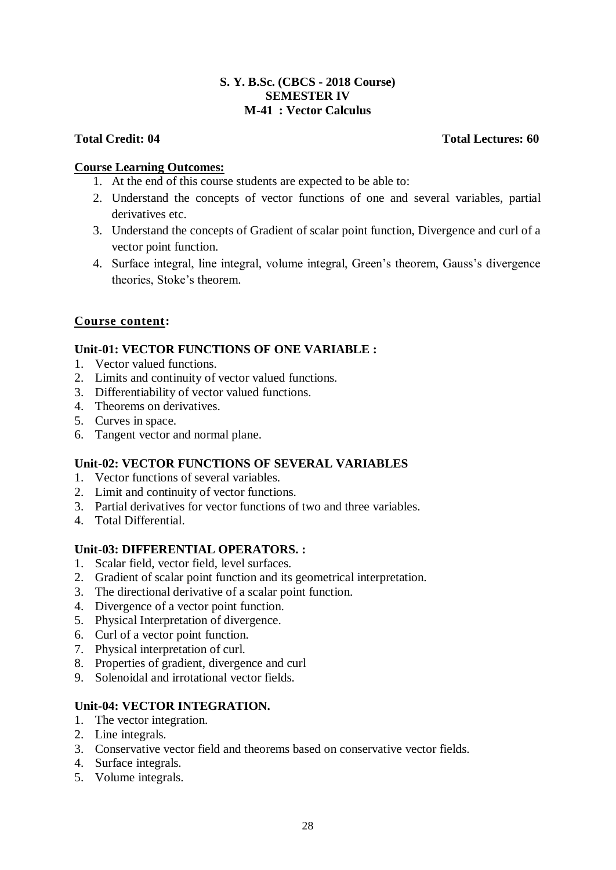# **S. Y. B.Sc. (CBCS - 2018 Course) SEMESTER IV M-41 : Vector Calculus**

# **Total Credit: 04 Total Lectures: 60**

# **Course Learning Outcomes:**

- 1. At the end of this course students are expected to be able to:
- 2. Understand the concepts of vector functions of one and several variables, partial derivatives etc.
- 3. Understand the concepts of Gradient of scalar point function, Divergence and curl of a vector point function.
- 4. Surface integral, line integral, volume integral, Green's theorem, Gauss's divergence theories, Stoke's theorem.

# **Course content:**

# **Unit-01: VECTOR FUNCTIONS OF ONE VARIABLE :**

- 1. Vector valued functions.
- 2. Limits and continuity of vector valued functions.
- 3. Differentiability of vector valued functions.
- 4. Theorems on derivatives.
- 5. Curves in space.
- 6. Tangent vector and normal plane.

# **Unit-02: VECTOR FUNCTIONS OF SEVERAL VARIABLES**

- 1. Vector functions of several variables.
- 2. Limit and continuity of vector functions.
- 3. Partial derivatives for vector functions of two and three variables.
- 4. Total Differential.

# **Unit-03: DIFFERENTIAL OPERATORS. :**

- 1. Scalar field, vector field, level surfaces.
- 2. Gradient of scalar point function and its geometrical interpretation.
- 3. The directional derivative of a scalar point function.
- 4. Divergence of a vector point function.
- 5. Physical Interpretation of divergence.
- 6. Curl of a vector point function.
- 7. Physical interpretation of curl.
- 8. Properties of gradient, divergence and curl
- 9. Solenoidal and irrotational vector fields.

# **Unit-04: VECTOR INTEGRATION.**

- 1. The vector integration.
- 2. Line integrals.
- 3. Conservative vector field and theorems based on conservative vector fields.
- 4. Surface integrals.
- 5. Volume integrals.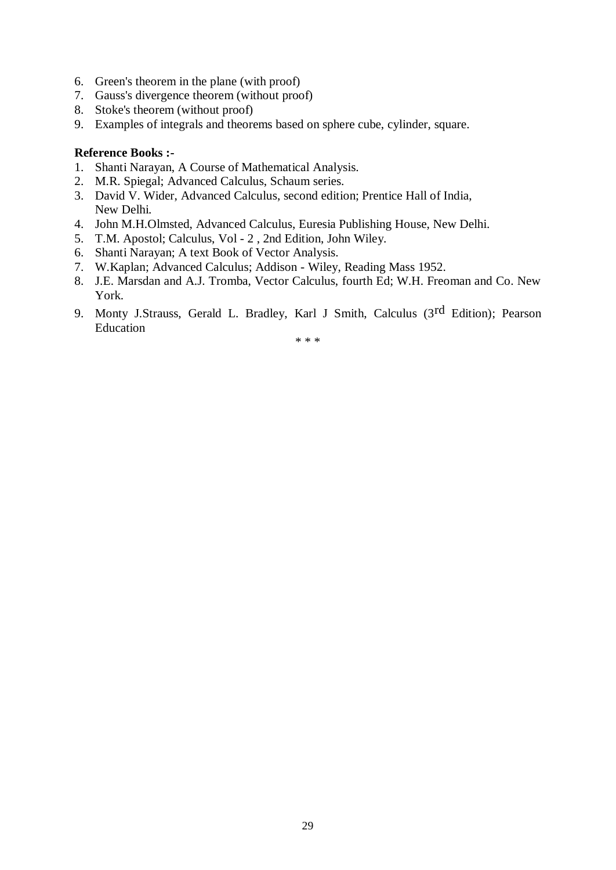- 6. Green's theorem in the plane (with proof)
- 7. Gauss's divergence theorem (without proof)
- 8. Stoke's theorem (without proof)
- 9. Examples of integrals and theorems based on sphere cube, cylinder, square.

# **Reference Books :-**

- 1. Shanti Narayan, A Course of Mathematical Analysis.
- 2. M.R. Spiegal; Advanced Calculus, Schaum series.
- 3. David V. Wider, Advanced Calculus, second edition; Prentice Hall of India, New Delhi.
- 4. John M.H.Olmsted, Advanced Calculus, Euresia Publishing House, New Delhi.
- 5. T.M. Apostol; Calculus, Vol 2 , 2nd Edition, John Wiley.
- 6. Shanti Narayan; A text Book of Vector Analysis.
- 7. W.Kaplan; Advanced Calculus; Addison Wiley, Reading Mass 1952.
- 8. J.E. Marsdan and A.J. Tromba, Vector Calculus, fourth Ed; W.H. Freoman and Co. New York.
- 9. Monty J.Strauss, Gerald L. Bradley, Karl J Smith, Calculus (3rd Edition); Pearson Education

\* \* \*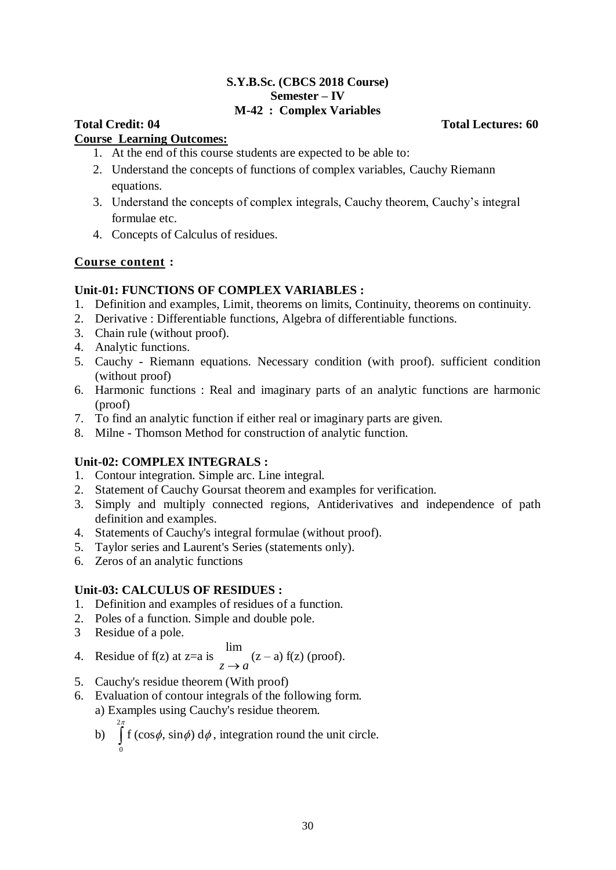# **S.Y.B.Sc. (CBCS 2018 Course) Semester – IV M-42 : Complex Variables**

# **Total Credit: 04 Total Lectures: 60**

# **Course Learning Outcomes:**

- 1. At the end of this course students are expected to be able to:
- 2. Understand the concepts of functions of complex variables, Cauchy Riemann equations.
- 3. Understand the concepts of complex integrals, Cauchy theorem, Cauchy's integral formulae etc.
- 4. Concepts of Calculus of residues.

# **Course content :**

# **Unit-01: FUNCTIONS OF COMPLEX VARIABLES :**

- 1. Definition and examples, Limit, theorems on limits, Continuity, theorems on continuity.
- 2. Derivative : Differentiable functions, Algebra of differentiable functions.
- 3. Chain rule (without proof).
- 4. Analytic functions.
- 5. Cauchy Riemann equations. Necessary condition (with proof). sufficient condition (without proof)
- 6. Harmonic functions : Real and imaginary parts of an analytic functions are harmonic (proof)
- 7. To find an analytic function if either real or imaginary parts are given.
- 8. Milne Thomson Method for construction of analytic function.

# **Unit-02: COMPLEX INTEGRALS :**

- 1. Contour integration. Simple arc. Line integral.
- 2. Statement of Cauchy Goursat theorem and examples for verification.
- 3. Simply and multiply connected regions, Antiderivatives and independence of path definition and examples.
- 4. Statements of Cauchy's integral formulae (without proof).
- 5. Taylor series and Laurent's Series (statements only).
- 6. Zeros of an analytic functions

# **Unit-03: CALCULUS OF RESIDUES :**

- 1. Definition and examples of residues of a function.
- 2. Poles of a function. Simple and double pole.
- 3 Residue of a pole.

4. Residue of f(z) at z=a is 
$$
\lim_{z \to a} (z-a)
$$
 f(z) (proof).

- 5. Cauchy's residue theorem (With proof)
- 6. Evaluation of contour integrals of the following form. a) Examples using Cauchy's residue theorem.
	- b) 2  $\mathbf{0}$  $\int_{0}^{\pi} f(\cos \phi, \sin \phi) d\phi$ , integration round the unit circle.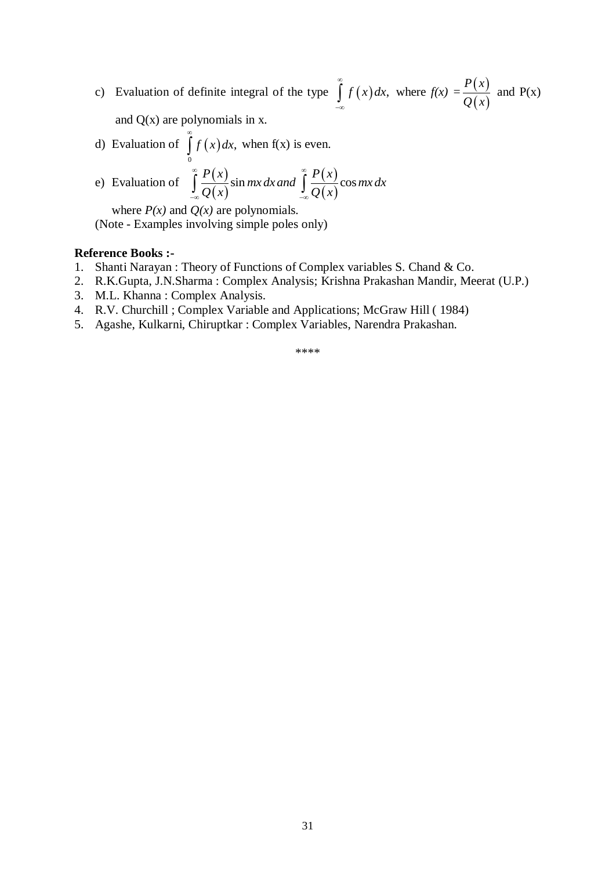c) Evaluation of definite integral of the type  $\int f(x) dx$ ,  $\infty$  $\int_{-\infty}^{\infty} f(x) dx$ , where  $f(x) = \frac{P(x)}{Q(x)}$  $(x)$ *P x Q x* and  $P(x)$ and  $Q(x)$  are polynomials in x.

 $\infty$ 

d) Evaluation of 
$$
\int_{0}^{x} f(x) dx
$$
, when f(x) is even.  
e) Evaluation of  $\int_{0}^{\infty} \frac{P(x)}{x \sin mx dx}$  and  $\int_{0}^{\infty} \frac{P(x)}{x^2} dx$ 

e) Evaluation of 
$$
\int_{-\infty}^{\infty} \frac{P(x)}{Q(x)} \sin mx \, dx
$$
 and 
$$
\int_{-\infty}^{\infty} \frac{P(x)}{Q(x)} \cos mx \, dx
$$

where  $P(x)$  and  $Q(x)$  are polynomials. (Note - Examples involving simple poles only)

# **Reference Books :-**

- 1. Shanti Narayan : Theory of Functions of Complex variables S. Chand & Co.
- 2. R.K.Gupta, J.N.Sharma : Complex Analysis; Krishna Prakashan Mandir, Meerat (U.P.)
- 3. M.L. Khanna : Complex Analysis.
- 4. R.V. Churchill ; Complex Variable and Applications; McGraw Hill ( 1984)
- 5. Agashe, Kulkarni, Chiruptkar : Complex Variables, Narendra Prakashan.

\*\*\*\*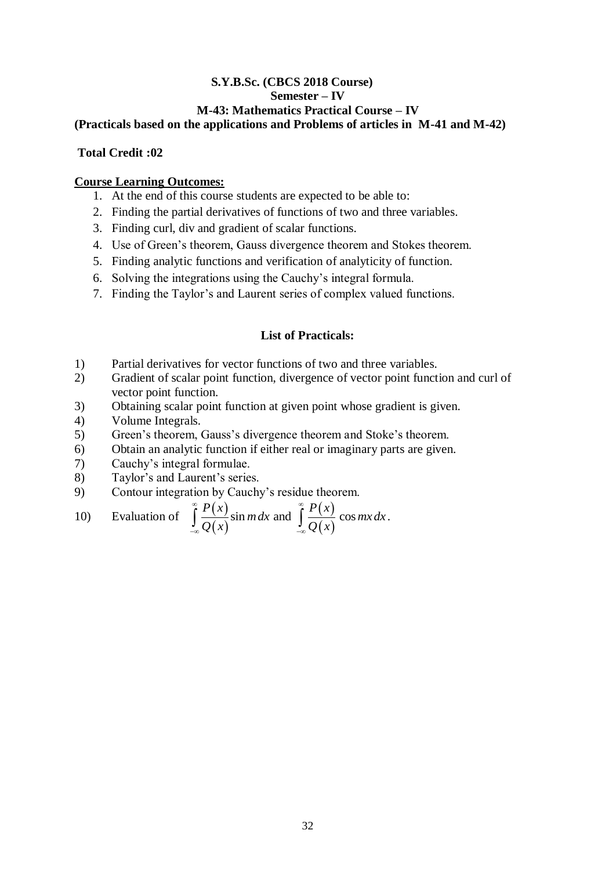# **S.Y.B.Sc. (CBCS 2018 Course) Semester – IV M-43: Mathematics Practical Course – IV (Practicals based on the applications and Problems of articles in M-41 and M-42)**

# **Total Credit :02**

# **Course Learning Outcomes:**

- 1. At the end of this course students are expected to be able to:
- 2. Finding the partial derivatives of functions of two and three variables.
- 3. Finding curl, div and gradient of scalar functions.
- 4. Use of Green's theorem, Gauss divergence theorem and Stokes theorem.
- 5. Finding analytic functions and verification of analyticity of function.
- 6. Solving the integrations using the Cauchy's integral formula.
- 7. Finding the Taylor's and Laurent series of complex valued functions.

# **List of Practicals:**

- 1) Partial derivatives for vector functions of two and three variables.
- 2) Gradient of scalar point function, divergence of vector point function and curl of vector point function.
- 3) Obtaining scalar point function at given point whose gradient is given.
- 4) Volume Integrals.
- 5) Green's theorem, Gauss's divergence theorem and Stoke's theorem.
- 6) Obtain an analytic function if either real or imaginary parts are given.
- 7) Cauchy's integral formulae.
- 8) Taylor's and Laurent's series.
- 

9) Contour integration by Cauchy's residue theorem.  
\n10) Evaluation of 
$$
\int_{-\infty}^{\infty} \frac{P(x)}{Q(x)} \sin m dx
$$
 and 
$$
\int_{-\infty}^{\infty} \frac{P(x)}{Q(x)} \cos mx dx.
$$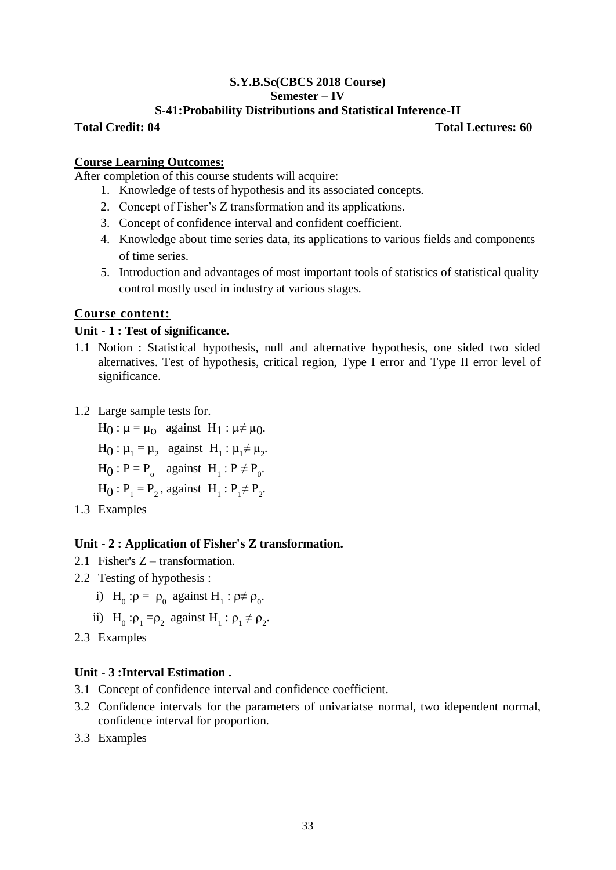# **S.Y.B.Sc(CBCS 2018 Course) Semester – IV**

# **S-41:Probability Distributions and Statistical Inference-II**

**Total Credit: 04 Total Lectures: 60**

# **Course Learning Outcomes:**

After completion of this course students will acquire:

- 1. Knowledge of tests of hypothesis and its associated concepts.
- 2. Concept of Fisher's Z transformation and its applications.
- 3. Concept of confidence interval and confident coefficient.
- 4. Knowledge about time series data, its applications to various fields and components of time series.
- 5. Introduction and advantages of most important tools of statistics of statistical quality control mostly used in industry at various stages.

# **Course content:**

# **Unit - 1 : Test of significance.**

- 1.1 Notion : Statistical hypothesis, null and alternative hypothesis, one sided two sided alternatives. Test of hypothesis, critical region, Type I error and Type II error level of significance.
- 1.2 Large sample tests for.

 $H_0: \mu = \mu_0$  against  $H_1: \mu \neq \mu_0$ .

- $H_0: \mu_1 = \mu_2$  against  $H_1: \mu_1 \neq \mu_2$ .
- $H_0$ :  $P = P_o$  against  $H_1$ :  $P \neq P_o$ .
- $H_0: P_1 = P_2$ , against  $H_1: P_1 \neq P_2$ .
- 1.3 Examples

# **Unit - 2 : Application of Fisher's Z transformation.**

- 2.1 Fisher's Z transformation.
- 2.2 Testing of hypothesis :
	- i)  $H_0: \rho = \rho_0$  against  $H_1: \rho \neq \rho_0$ .
	- ii)  $H_0: \rho_1 = \rho_2$  against  $H_1: \rho_1 \neq \rho_2$ .
- 2.3 Examples

# **Unit - 3 :Interval Estimation .**

- 3.1 Concept of confidence interval and confidence coefficient.
- 3.2 Confidence intervals for the parameters of univariatse normal, two idependent normal, confidence interval for proportion.
- 3.3 Examples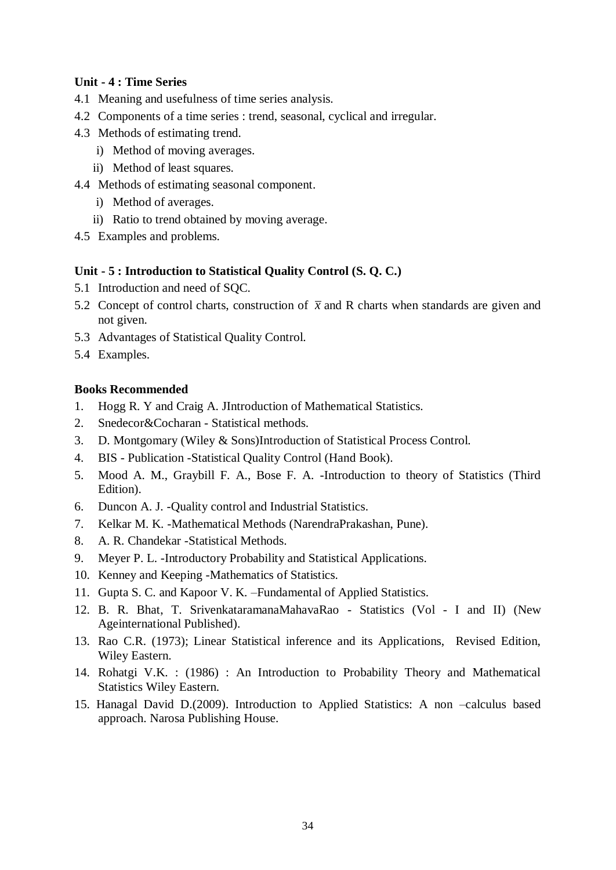# **Unit - 4 : Time Series**

- 4.1 Meaning and usefulness of time series analysis.
- 4.2 Components of a time series : trend, seasonal, cyclical and irregular.
- 4.3 Methods of estimating trend.
	- i) Method of moving averages.
	- ii) Method of least squares.
- 4.4 Methods of estimating seasonal component.
	- i) Method of averages.
	- ii) Ratio to trend obtained by moving average.
- 4.5 Examples and problems.

# **Unit - 5 : Introduction to Statistical Quality Control (S. Q. C.)**

- 5.1 Introduction and need of SQC.
- 5.2 Concept of control charts, construction of  $\bar{x}$  and R charts when standards are given and not given.
- 5.3 Advantages of Statistical Quality Control.
- 5.4 Examples.

# **Books Recommended**

- 1. Hogg R. Y and Craig A. JIntroduction of Mathematical Statistics.
- 2. Snedecor&Cocharan Statistical methods.
- 3. D. Montgomary (Wiley & Sons)Introduction of Statistical Process Control.
- 4. BIS Publication -Statistical Quality Control (Hand Book).
- 5. Mood A. M., Graybill F. A., Bose F. A. -Introduction to theory of Statistics (Third Edition).
- 6. Duncon A. J. -Quality control and Industrial Statistics.
- 7. Kelkar M. K. -Mathematical Methods (NarendraPrakashan, Pune).
- 8. A. R. Chandekar -Statistical Methods.
- 9. Meyer P. L. -Introductory Probability and Statistical Applications.
- 10. Kenney and Keeping -Mathematics of Statistics.
- 11. Gupta S. C. and Kapoor V. K. –Fundamental of Applied Statistics.
- 12. B. R. Bhat, T. SrivenkataramanaMahavaRao Statistics (Vol I and II) (New Ageinternational Published).
- 13. Rao C.R. (1973); Linear Statistical inference and its Applications, Revised Edition, Wiley Eastern.
- 14. Rohatgi V.K. : (1986) : An Introduction to Probability Theory and Mathematical Statistics Wiley Eastern.
- 15. Hanagal David D.(2009). Introduction to Applied Statistics: A non –calculus based approach. Narosa Publishing House.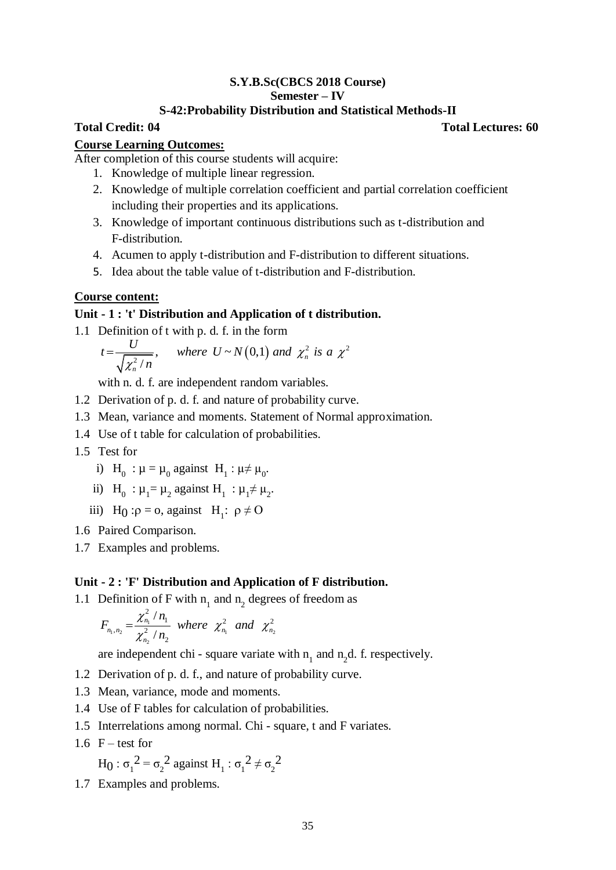# **S.Y.B.Sc(CBCS 2018 Course) Semester – IV**

# **S-42:Probability Distribution and Statistical Methods-II**

# **Course Learning Outcomes:**

After completion of this course students will acquire:

- 1. Knowledge of multiple linear regression.
- 2. Knowledge of multiple correlation coefficient and partial correlation coefficient including their properties and its applications.
- 3. Knowledge of important continuous distributions such as t-distribution and F-distribution.
- 4. Acumen to apply t-distribution and F-distribution to different situations.
- 5. Idea about the table value of t-distribution and F-distribution.

# **Course content:**

# **Unit - 1 : 't' Distribution and Application of t distribution.**

\n- 1.1 Definition of t with p. d. f. in the form 
$$
t = \frac{U}{\sqrt{x_n^2/n}}
$$
, where  $U \sim N(0,1)$  and  $\chi_n^2$  is a  $\chi^2$  with n. d. f. are independent random variables.
\n- 1.2 Derivation of p. d. f. and nature of probability curve.
\n- 1.3 Mean, variance and moments. Statement of Normal approximations,  $T = \frac{1}{\sqrt{2}}$  of t table for calculation of probabilities.
\n- 1.5 Test for\n
	\n- i)  $H_0 : \mu = \mu_0$  against  $H_1 : \mu \neq \mu_0$ .
	\n- ii)  $H_0 : \mu = \mu_2$  against  $H_1 : \mu \neq \mu_2$ .
	\n- iii)  $H_0 : \rho = 0$ , against  $H_1 : \rho \neq 0$
	\n\n
\n- 1.6 Paired Comparison.
\n- 1.7 Examples and problems.
\n- 1.1 Definition of F with  $n_1$  and  $n_2$  degrees of freedom as\n  $F_{n_1,n_2} = \frac{\chi_{n_1}^2 / n_1}{\chi_{n_2}^2 / n_2}$ \n where  $\chi_{n_1}^2$  and  $\chi_{n_2}^2$  are independent chi - square variate with  $n_1$  and  $n_2$ d. f. re
\n- 1.2 Derivation of p. d. f., and nature of probability curve.
\n- 1.3 Mean, variance, mode and moments.
\n- 1.4 Use of F tables for calculation of probabilities.
\n- 1.5 Interrelations among normal. Chi - square, t and F variate of the  $n_1$  and  $n_2$  and  $n_1$ .
\n- 1.5 Interrelations among normal. Chi - square, t and F variate of the  $n_1$  and  $n_2$  and  $n_1$ .
\n- 1.6  $F - \text{test}$  for  $H_0 : \sigma_1^2 = \sigma_2^2$  against <math display="</li>

with n. d. f. are independent random variables.

- 1.2 Derivation of p. d. f. and nature of probability curve.
- 1.3 Mean, variance and moments. Statement of Normal approximation.
- 1.4 Use of t table for calculation of probabilities.
- 1.5 Test for
	- i)  $H_0$  :  $\mu = \mu_0$  against  $H_1$  :  $\mu \neq \mu_0$ .
	- ii)  $H_0$ :  $\mu_1 = \mu_2$  against  $H_1$ :  $\mu_1 \neq \mu_2$ .
	- iii) H<sub>0</sub>: $\rho = 0$ , against H<sub>1</sub>:  $\rho \neq 0$
- 1.6 Paired Comparison.
- 1.7 Examples and problems.

# **Unit - 2 : 'F' Distribution and Application of F distribution.**

1.1 Definition of F with  $n_1$  and  $n_2$  degrees of freedom as

$$
F_{n_1,n_2} = \frac{\chi_{n_1}^2 / n_1}{\chi_{n_2}^2 / n_2}
$$
 where  $\chi_{n_1}^2$  and  $\chi_{n_2}^2$ 

are independent chi - square variate with  $n_1$  and  $n_2$ d. f. respectively.

- 1.2 Derivation of p. d. f., and nature of probability curve.
- 1.3 Mean, variance, mode and moments.
- 1.4 Use of F tables for calculation of probabilities.
- 1.5 Interrelations among normal. Chi square, t and F variates.
- $1.6$  F test for

$$
H_0
$$
:  $\sigma_1^2 = \sigma_2^2$  against  $H_1$ :  $\sigma_1^2 \neq \sigma_2^2$ 

1.7 Examples and problems.

**Total Credit: 04 Total Lectures: 60**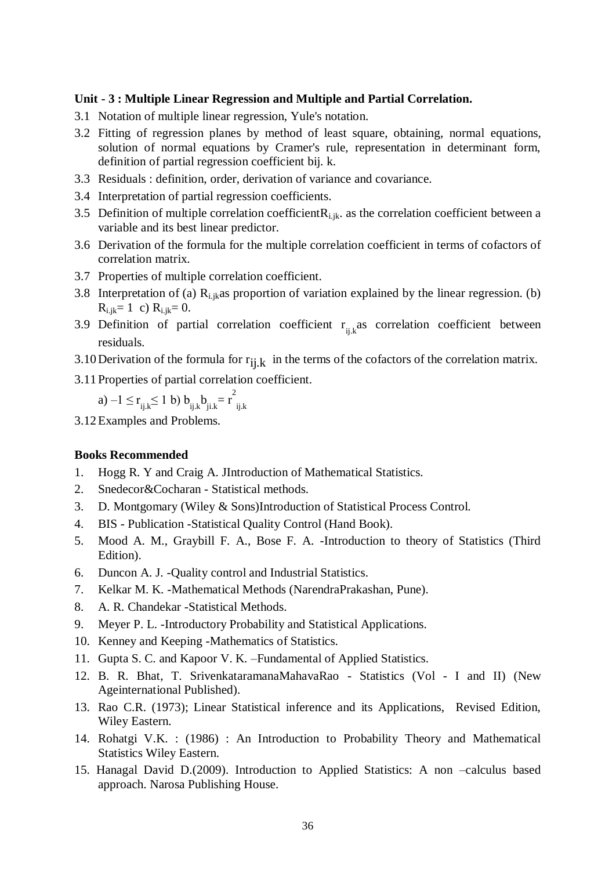# **Unit - 3 : Multiple Linear Regression and Multiple and Partial Correlation.**

- 3.1 Notation of multiple linear regression, Yule's notation.
- 3.2 Fitting of regression planes by method of least square, obtaining, normal equations, solution of normal equations by Cramer's rule, representation in determinant form, definition of partial regression coefficient bij. k.
- 3.3 Residuals : definition, order, derivation of variance and covariance.
- 3.4 Interpretation of partial regression coefficients.
- 3.5 Definition of multiple correlation coefficient  $R_{i,ik}$  as the correlation coefficient between a variable and its best linear predictor.
- 3.6 Derivation of the formula for the multiple correlation coefficient in terms of cofactors of correlation matrix.
- 3.7 Properties of multiple correlation coefficient.
- 3.8 Interpretation of (a)  $R_{i,ik}$ as proportion of variation explained by the linear regression. (b)  $R_{i,j,k} = 1$  c)  $R_{i,j,k} = 0$ .
- 3.9 Definition of partial correlation coefficient  $r_{ijk}$  as correlation coefficient between residuals.
- 3.10 Derivation of the formula for  $r_{i,j,k}$  in the terms of the cofactors of the correlation matrix.
- 3.11 Properties of partial correlation coefficient.

a)  $-1 \le r_{ij,k} \le 1$  b)  $b_{ij,k}b_{ji,k} = r^2$ ij.k

3.12Examples and Problems.

# **Books Recommended**

- 1. Hogg R. Y and Craig A. JIntroduction of Mathematical Statistics.
- 2. Snedecor&Cocharan Statistical methods.
- 3. D. Montgomary (Wiley & Sons)Introduction of Statistical Process Control.
- 4. BIS Publication -Statistical Quality Control (Hand Book).
- 5. Mood A. M., Graybill F. A., Bose F. A. -Introduction to theory of Statistics (Third Edition).
- 6. Duncon A. J. -Quality control and Industrial Statistics.
- 7. Kelkar M. K. -Mathematical Methods (NarendraPrakashan, Pune).
- 8. A. R. Chandekar -Statistical Methods.
- 9. Meyer P. L. -Introductory Probability and Statistical Applications.
- 10. Kenney and Keeping -Mathematics of Statistics.
- 11. Gupta S. C. and Kapoor V. K. –Fundamental of Applied Statistics.
- 12. B. R. Bhat, T. SrivenkataramanaMahavaRao Statistics (Vol I and II) (New Ageinternational Published).
- 13. Rao C.R. (1973); Linear Statistical inference and its Applications, Revised Edition, Wiley Eastern.
- 14. Rohatgi V.K. : (1986) : An Introduction to Probability Theory and Mathematical Statistics Wiley Eastern.
- 15. Hanagal David D.(2009). Introduction to Applied Statistics: A non –calculus based approach. Narosa Publishing House.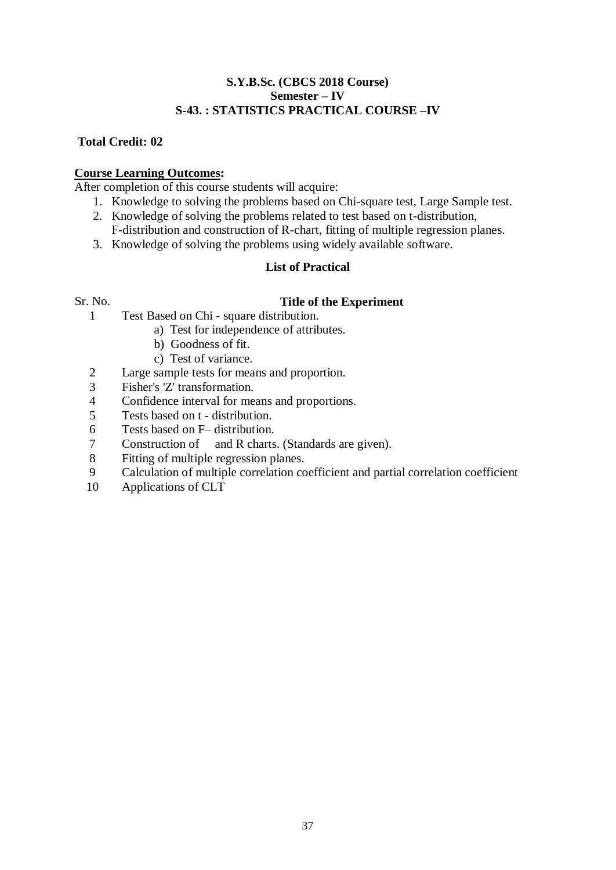# **S.Y.B.Sc. (CBCS 2018 Course) Semester – IV S-43. : STATISTICS PRACTICAL COURSE –IV**

# **Total Credit: 02**

# **Course Learning Outcomes:**

After completion of this course students will acquire:

- 1. Knowledge to solving the problems based on Chi-square test, Large Sample test.
- 2. Knowledge of solving the problems related to test based on t-distribution, F-distribution and construction of R-chart, fitting of multiple regression planes.
- 3. Knowledge of solving the problems using widely available software.

# **List of Practical**

# Sr. No. **Title of the Experiment**

- 1 Test Based on Chi square distribution.
	- a) Test for independence of attributes.
	- b) Goodness of fit.
	- c) Test of variance.
- 2 Large sample tests for means and proportion.
- 3 Fisher's 'Z' transformation.
- 4 Confidence interval for means and proportions.
- 5 Tests based on t distribution.
- 6 Tests based on F– distribution.
- 7 Construction of and R charts. (Standards are given).
- 8 Fitting of multiple regression planes.<br>9 Calculation of multiple correlation co
- 9 Calculation of multiple correlation coefficient and partial correlation coefficient
- 10 Applications of CLT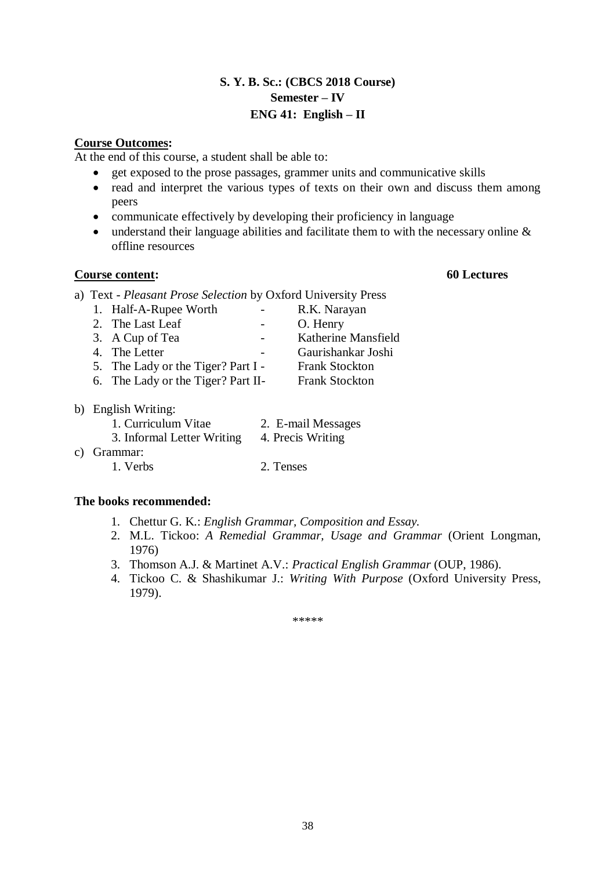# **S. Y. B. Sc.: (CBCS 2018 Course) Semester – IV ENG 41: English – II**

# **Course Outcomes:**

At the end of this course, a student shall be able to:

- get exposed to the prose passages, grammer units and communicative skills
- read and interpret the various types of texts on their own and discuss them among peers
- communicate effectively by developing their proficiency in language
- understand their language abilities and facilitate them to with the necessary online & offline resources

# **Course content: 60 Lectures**

- a) Text *Pleasant Prose Selection* by Oxford University Press
	- 1. Half-A-Rupee Worth R.K. Narayan
	- 2. The Last Leaf O. Henry
	- 3. A Cup of Tea Katherine Mansfield
	- 4. The Letter **-** Gaurishankar Joshi
	- 5. The Lady or the Tiger? Part I Frank Stockton
	- 6. The Lady or the Tiger? Part II- Frank Stockton
- b) English Writing:

c)

| 1. Curriculum Vitae        | 2. E-mail Messages |
|----------------------------|--------------------|
| 3. Informal Letter Writing | 4. Precis Writing  |
| Grammar:                   |                    |
| 1. Verbs                   | 2. Tenses          |

# **The books recommended:**

- 1. Chettur G. K.: *English Grammar, Composition and Essay.*
- 2. M.L. Tickoo: *A Remedial Grammar, Usage and Grammar* (Orient Longman, 1976)
- 3. Thomson A.J. & Martinet A.V.: *Practical English Grammar* (OUP, 1986).
- 4. Tickoo C. & Shashikumar J.: *Writing With Purpose* (Oxford University Press, 1979).

\*\*\*\*\*